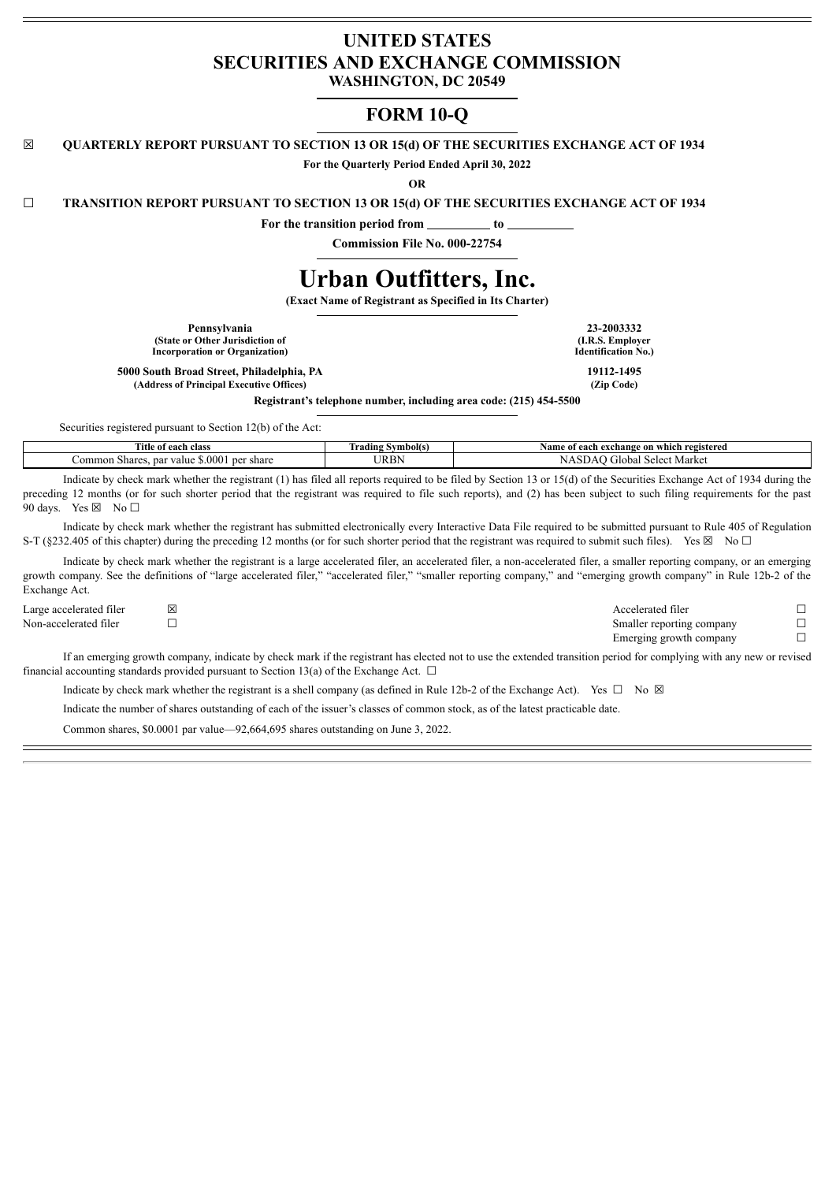# **UNITED STATES SECURITIES AND EXCHANGE COMMISSION**

**WASHINGTON, DC 20549**

# **FORM 10-Q**

# ☒ **QUARTERLY REPORT PURSUANT TO SECTION 13 OR 15(d) OF THE SECURITIES EXCHANGE ACT OF 1934**

**For the Quarterly Period Ended April 30, 2022**

**OR**

☐ **TRANSITION REPORT PURSUANT TO SECTION 13 OR 15(d) OF THE SECURITIES EXCHANGE ACT OF 1934**

**For the transition period from to**

**Commission File No. 000-22754**

# **Urban Outfitters, Inc.**

**(Exact Name of Registrant as Specified in Its Charter)**

**Pennsylvania 23-2003332 (State or Other Jurisdiction of Incorporation or Organization)**

**(I.R.S. Employer Identification No.)**

**5000 South Broad Street, Philadelphia, PA 19112-1495 (Address of Principal Executive Offices) (Zip Code)**

**Registrant's telephone number, including area code: (215) 454-5500**

Securities registered pursuant to Section 12(b) of the Act:

| <br>∸ot each ⊾<br>class<br>. 1tle                                     | $\sim$<br>$\sim$ Symbon.<br>radını | e on which registered<br>Nam.<br>. cach exchange :<br>$\Omega$ |
|-----------------------------------------------------------------------|------------------------------------|----------------------------------------------------------------|
| .000<br>ner<br>shar<br>$\mathbf{a}$<br>`ommon<br>valut<br>Share<br>ни | <b>DN</b><br>'INDI                 | . ilobal<br>. select Market                                    |

Indicate by check mark whether the registrant (1) has filed all reports required to be filed by Section 13 or 15(d) of the Securities Exchange Act of 1934 during the preceding 12 months (or for such shorter period that the registrant was required to file such reports), and (2) has been subject to such filing requirements for the past 90 days. Yes  $\boxtimes$  No  $\Box$ 

Indicate by check mark whether the registrant has submitted electronically every Interactive Data File required to be submitted pursuant to Rule 405 of Regulation S-T (§232.405 of this chapter) during the preceding 12 months (or for such shorter period that the registrant was required to submit such files). Yes  $\boxtimes$  No  $\Box$ 

Indicate by check mark whether the registrant is a large accelerated filer, an accelerated filer, a non-accelerated filer, a smaller reporting company, or an emerging growth company. See the definitions of "large accelerated filer," "accelerated filer," "smaller reporting company," and "emerging growth company" in Rule 12b-2 of the Exchange Act.

Large accelerated filer **□**<br>
Non-accelerated filer □<br> **Non-accelerated filer** □ Smaller reporting company Emerging growth company  $\Box$ 

If an emerging growth company, indicate by check mark if the registrant has elected not to use the extended transition period for complying with any new or revised financial accounting standards provided pursuant to Section 13(a) of the Exchange Act.  $\Box$ 

Indicate by check mark whether the registrant is a shell company (as defined in Rule 12b-2 of the Exchange Act). Yes  $\Box$  No  $\boxtimes$ 

Indicate the number of shares outstanding of each of the issuer's classes of common stock, as of the latest practicable date.

Common shares, \$0.0001 par value—92,664,695 shares outstanding on June 3, 2022.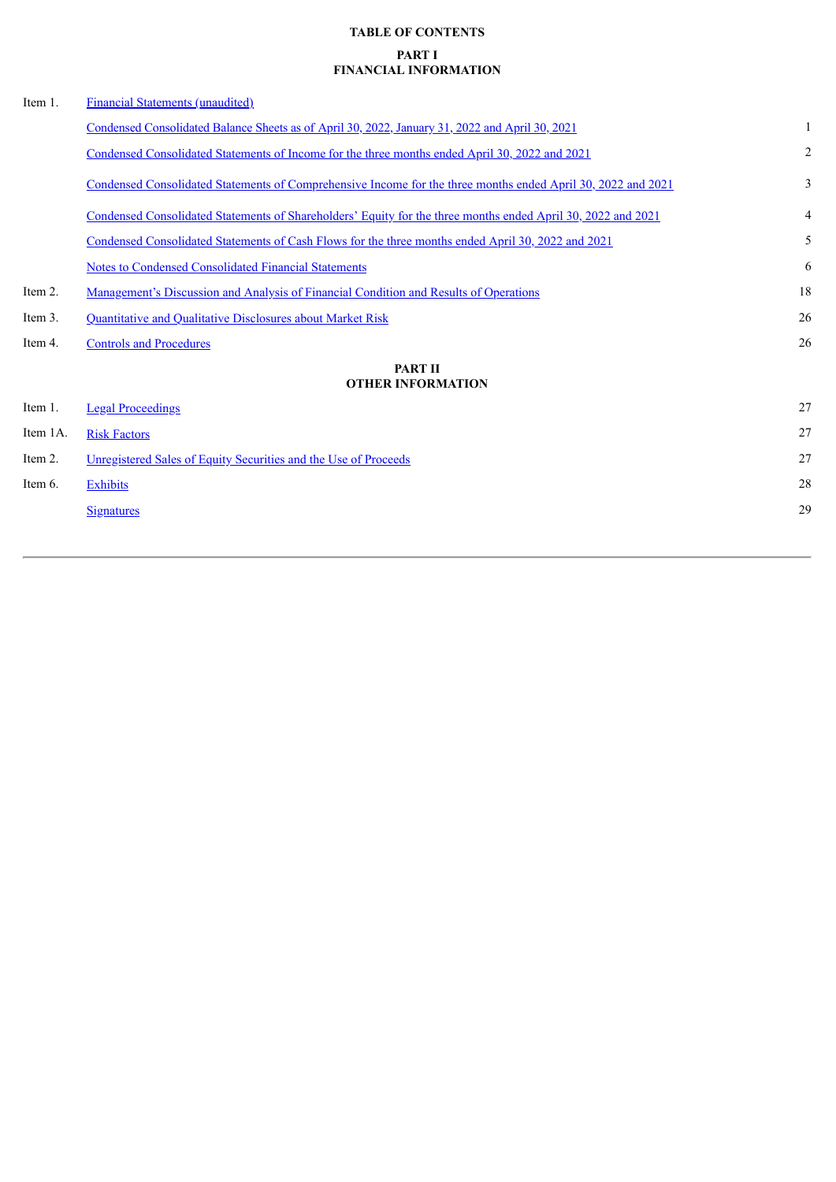# **TABLE OF CONTENTS PART I FINANCIAL INFORMATION**

| Item 1.  | <b>Financial Statements (unaudited)</b>                                                                      |                |
|----------|--------------------------------------------------------------------------------------------------------------|----------------|
|          | Condensed Consolidated Balance Sheets as of April 30, 2022, January 31, 2022 and April 30, 2021              |                |
|          | Condensed Consolidated Statements of Income for the three months ended April 30, 2022 and 2021               | $\overline{2}$ |
|          | Condensed Consolidated Statements of Comprehensive Income for the three months ended April 30, 2022 and 2021 | 3              |
|          | Condensed Consolidated Statements of Shareholders' Equity for the three months ended April 30, 2022 and 2021 | $\overline{4}$ |
|          | Condensed Consolidated Statements of Cash Flows for the three months ended April 30, 2022 and 2021           | 5              |
|          | <b>Notes to Condensed Consolidated Financial Statements</b>                                                  | 6              |
| Item 2.  | Management's Discussion and Analysis of Financial Condition and Results of Operations                        | 18             |
| Item 3.  | Quantitative and Qualitative Disclosures about Market Risk                                                   | 26             |
| Item 4.  | <b>Controls and Procedures</b>                                                                               | 26             |
|          | <b>PART II</b>                                                                                               |                |
|          | <b>OTHER INFORMATION</b>                                                                                     |                |
| Item 1.  | <b>Legal Proceedings</b>                                                                                     | 27             |
| Item 1A. | <b>Risk Factors</b>                                                                                          | 27             |
| Item 2.  | Unregistered Sales of Equity Securities and the Use of Proceeds                                              | 27             |
| Item 6.  | <b>Exhibits</b>                                                                                              | 28             |
|          | <b>Signatures</b>                                                                                            | 29             |
|          |                                                                                                              |                |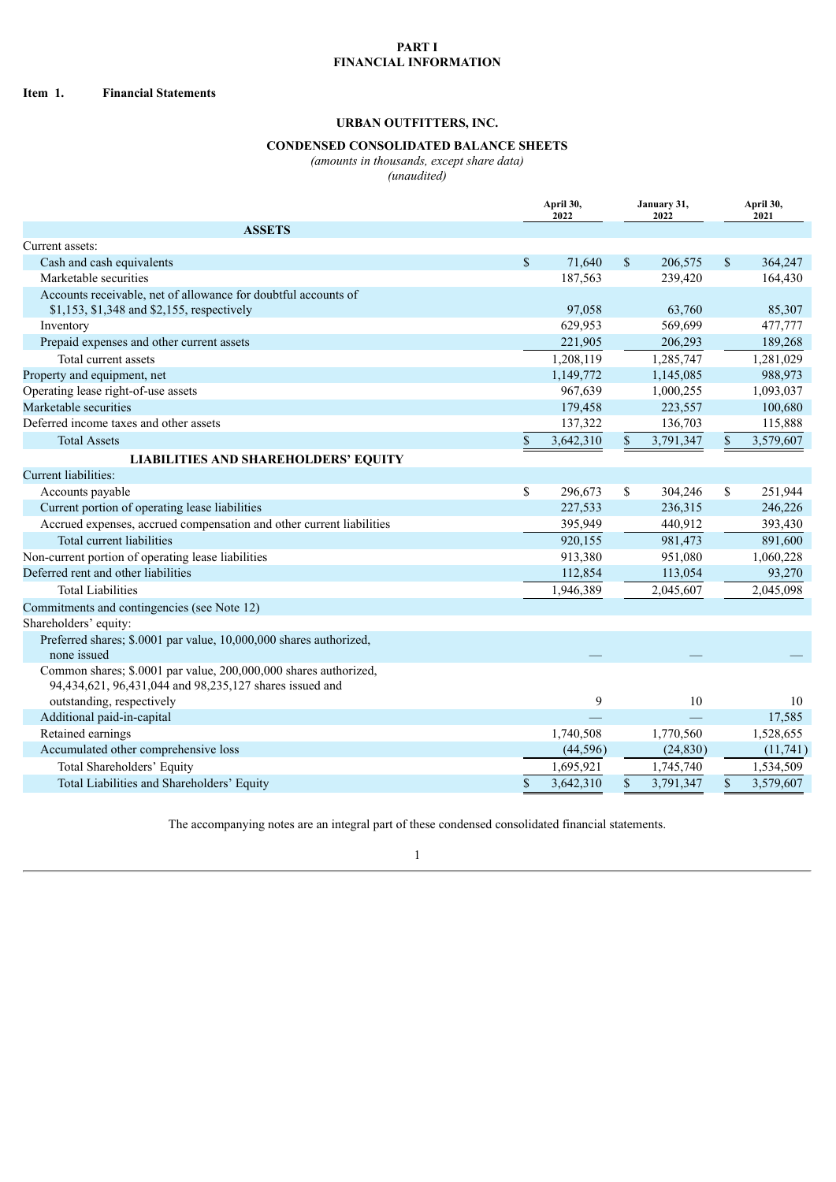# **PART I FINANCIAL INFORMATION**

# **URBAN OUTFITTERS, INC.**

# **CONDENSED CONSOLIDATED BALANCE SHEETS**

*(amounts in thousands, except share data)*

*(unaudited)*

<span id="page-2-1"></span><span id="page-2-0"></span>

|                                                                      | April 30,<br>2022 |             | January 31,<br>2022 |              | April 30,<br>2021 |
|----------------------------------------------------------------------|-------------------|-------------|---------------------|--------------|-------------------|
| <b>ASSETS</b>                                                        |                   |             |                     |              |                   |
| Current assets:                                                      |                   |             |                     |              |                   |
| Cash and cash equivalents                                            | \$<br>71,640      | \$          | 206,575             | $\mathbb{S}$ | 364,247           |
| Marketable securities                                                | 187,563           |             | 239,420             |              | 164,430           |
| Accounts receivable, net of allowance for doubtful accounts of       |                   |             |                     |              |                   |
| \$1,153, \$1,348 and \$2,155, respectively                           | 97,058            |             | 63,760              |              | 85,307            |
| Inventory                                                            | 629,953           |             | 569,699             |              | 477,777           |
| Prepaid expenses and other current assets                            | 221,905           |             | 206,293             |              | 189,268           |
| Total current assets                                                 | 1,208,119         |             | 1,285,747           |              | 1,281,029         |
| Property and equipment, net                                          | 1,149,772         |             | 1,145,085           |              | 988,973           |
| Operating lease right-of-use assets                                  | 967,639           |             | 1,000,255           |              | 1,093,037         |
| Marketable securities                                                | 179,458           |             | 223,557             |              | 100,680           |
| Deferred income taxes and other assets                               | 137,322           |             | 136,703             |              | 115,888           |
| <b>Total Assets</b>                                                  | \$<br>3,642,310   | \$          | 3,791,347           | $\mathbb{S}$ | 3,579,607         |
| <b>LIABILITIES AND SHAREHOLDERS' EQUITY</b>                          |                   |             |                     |              |                   |
| Current liabilities:                                                 |                   |             |                     |              |                   |
| Accounts payable                                                     | \$<br>296,673     | \$          | 304,246             | S.           | 251,944           |
| Current portion of operating lease liabilities                       | 227,533           |             | 236,315             |              | 246,226           |
| Accrued expenses, accrued compensation and other current liabilities | 395,949           |             | 440,912             |              | 393,430           |
| Total current liabilities                                            | 920,155           |             | 981,473             |              | 891,600           |
| Non-current portion of operating lease liabilities                   | 913,380           |             | 951,080             |              | 1,060,228         |
| Deferred rent and other liabilities                                  | 112,854           |             | 113,054             |              | 93,270            |
| <b>Total Liabilities</b>                                             | 1,946,389         |             | 2.045.607           |              | 2,045,098         |
| Commitments and contingencies (see Note 12)                          |                   |             |                     |              |                   |
| Shareholders' equity:                                                |                   |             |                     |              |                   |
| Preferred shares; \$.0001 par value, 10,000,000 shares authorized,   |                   |             |                     |              |                   |
| none issued                                                          |                   |             |                     |              |                   |
| Common shares; \$.0001 par value, 200,000,000 shares authorized,     |                   |             |                     |              |                   |
| 94,434,621, 96,431,044 and 98,235,127 shares issued and              |                   |             |                     |              |                   |
| outstanding, respectively                                            | 9                 |             | 10                  |              | 10                |
| Additional paid-in-capital                                           |                   |             |                     |              | 17,585            |
| Retained earnings                                                    | 1,740,508         |             | 1,770,560           |              | 1,528,655         |
| Accumulated other comprehensive loss                                 | (44, 596)         |             | (24, 830)           |              | (11,741)          |
| Total Shareholders' Equity                                           | 1,695,921         |             | 1,745,740           |              | 1,534,509         |
| Total Liabilities and Shareholders' Equity                           | \$<br>3,642,310   | $\mathbb S$ | 3,791,347           | $\mathbb S$  | 3,579,607         |

The accompanying notes are an integral part of these condensed consolidated financial statements.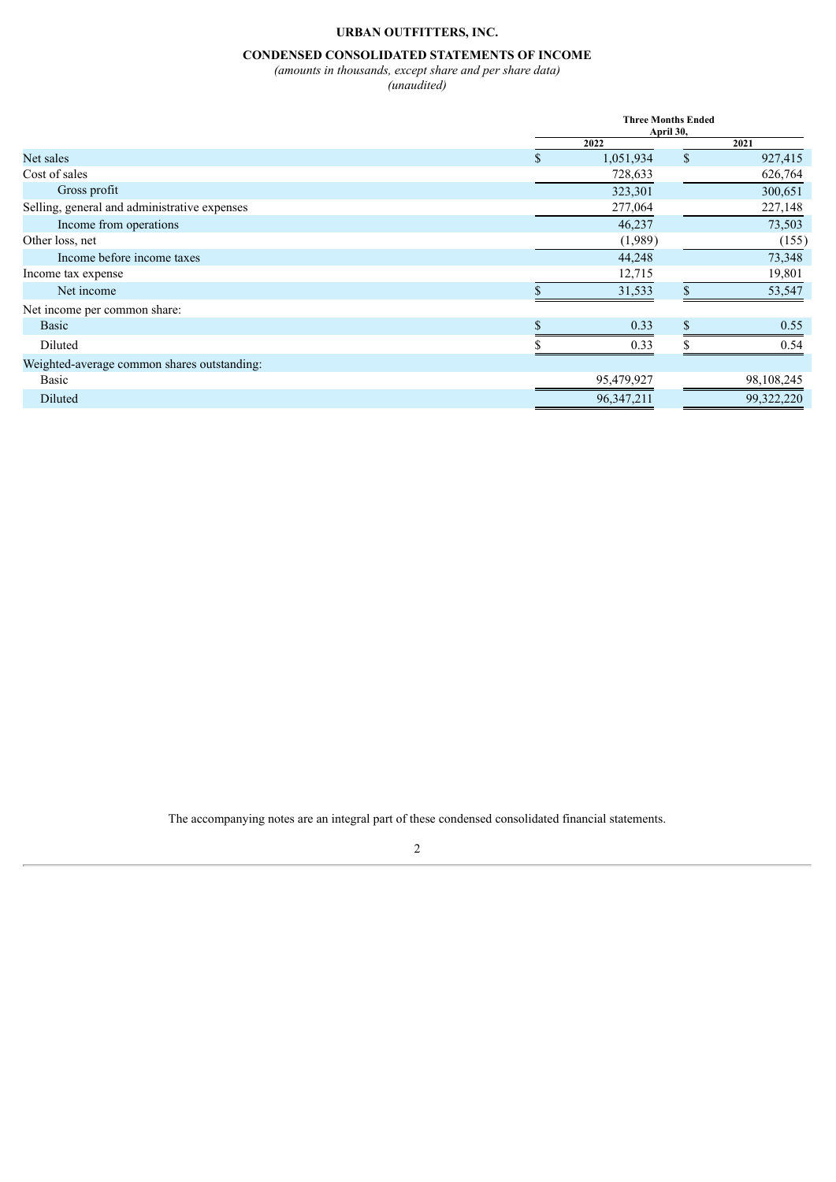# **CONDENSED CONSOLIDATED STATEMENTS OF INCOME**

*(amounts in thousands, except share and per share data)*

*(unaudited)*

<span id="page-3-0"></span>

|                                              |            | <b>Three Months Ended</b><br>April 30, |            |  |
|----------------------------------------------|------------|----------------------------------------|------------|--|
|                                              | 2022       |                                        | 2021       |  |
| Net sales                                    | 1,051,934  | \$                                     | 927,415    |  |
| Cost of sales                                | 728,633    |                                        | 626,764    |  |
| Gross profit                                 | 323,301    |                                        | 300,651    |  |
| Selling, general and administrative expenses | 277,064    |                                        | 227,148    |  |
| Income from operations                       | 46,237     |                                        | 73,503     |  |
| Other loss, net                              | (1,989)    |                                        | (155)      |  |
| Income before income taxes                   | 44,248     |                                        | 73,348     |  |
| Income tax expense                           | 12,715     |                                        | 19,801     |  |
| Net income                                   | 31,533     |                                        | 53,547     |  |
| Net income per common share:                 |            |                                        |            |  |
| <b>Basic</b>                                 | 0.33       | ĴЪ.                                    | 0.55       |  |
| Diluted                                      | 0.33       |                                        | 0.54       |  |
| Weighted-average common shares outstanding:  |            |                                        |            |  |
| <b>Basic</b>                                 | 95,479,927 |                                        | 98,108,245 |  |
| Diluted                                      | 96,347,211 |                                        | 99,322,220 |  |
|                                              |            |                                        |            |  |

The accompanying notes are an integral part of these condensed consolidated financial statements.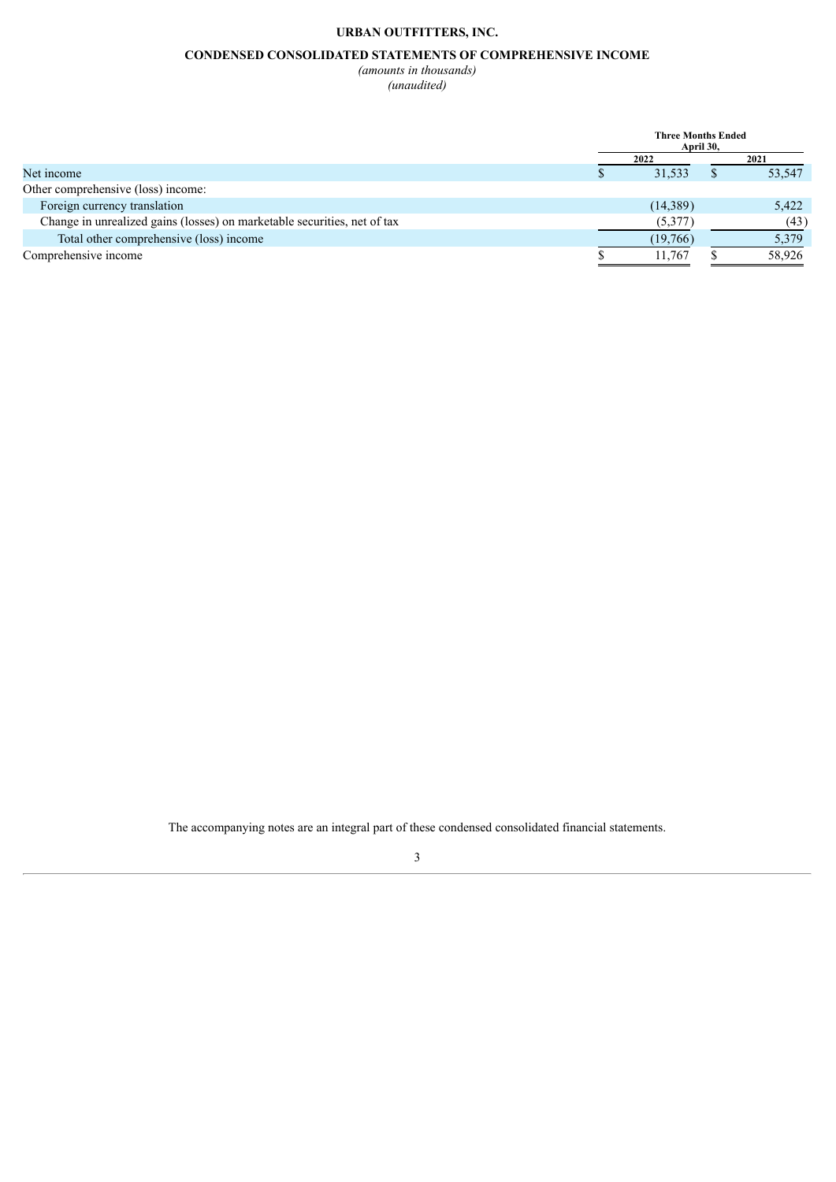# **CONDENSED CONSOLIDATED STATEMENTS OF COMPREHENSIVE INCOME**

*(amounts in thousands) (unaudited)*

<span id="page-4-0"></span>

|                                                                          |  | <b>Three Months Ended</b> |  |        |
|--------------------------------------------------------------------------|--|---------------------------|--|--------|
|                                                                          |  | 2022                      |  | 2021   |
| Net income                                                               |  | 31,533                    |  | 53,547 |
| Other comprehensive (loss) income:                                       |  |                           |  |        |
| Foreign currency translation                                             |  | (14, 389)                 |  | 5,422  |
| Change in unrealized gains (losses) on marketable securities, net of tax |  | (5,377)                   |  | (43)   |
| Total other comprehensive (loss) income                                  |  | (19,766)                  |  | 5,379  |
| Comprehensive income                                                     |  | 11,767                    |  | 58,926 |

The accompanying notes are an integral part of these condensed consolidated financial statements.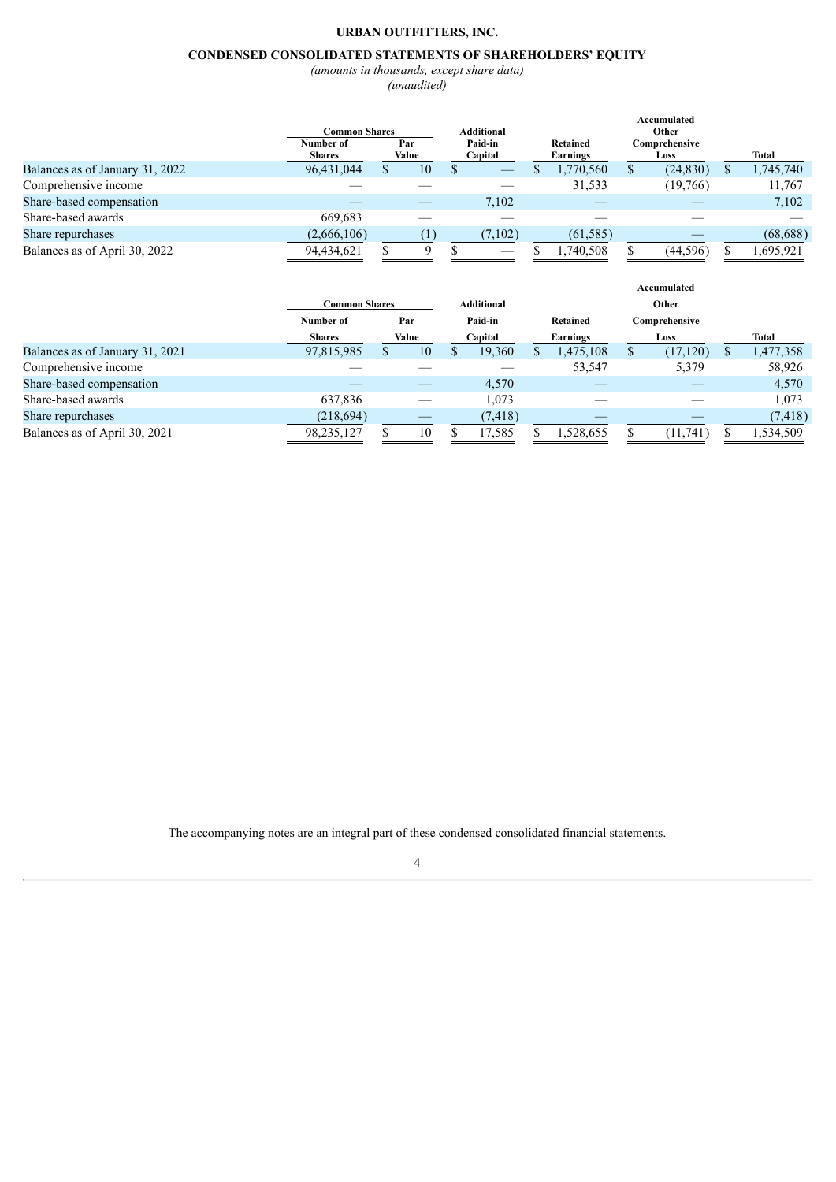# **CONDENSED CONSOLIDATED STATEMENTS OF SHAREHOLDERS' EQUITY**

*(amounts in thousands, except share data) (unaudited)*

<span id="page-5-0"></span>

|                                 |                            | Common Shares |              |  | <b>Additional</b>  |  |                             |                       |           |           |
|---------------------------------|----------------------------|---------------|--------------|--|--------------------|--|-----------------------------|-----------------------|-----------|-----------|
|                                 | Number of<br><b>Shares</b> |               | Par<br>Value |  | Paid-in<br>Capital |  | <b>Retained</b><br>Earnings | Comprehensive<br>Loss |           | Total     |
| Balances as of January 31, 2022 | 96,431,044                 |               | 10           |  |                    |  | 1,770,560                   |                       | (24, 830) | 1,745,740 |
| Comprehensive income            |                            |               |              |  |                    |  | 31,533                      |                       | (19,766)  | 11,767    |
| Share-based compensation        |                            |               |              |  | 7.102              |  |                             |                       |           | 7,102     |
| Share-based awards              | 669.683                    |               |              |  |                    |  |                             |                       |           |           |
| Share repurchases               | (2,666,106)                |               |              |  | (7,102)            |  | (61, 585)                   |                       |           | (68, 688) |
| Balances as of April 30, 2022   | 94,434,621                 |               |              |  |                    |  | 1,740,508                   |                       | (44,596)  | .695,921  |

|                                 |               | Common Shares |       |         | <b>Additional</b> |  |           |  |               |  |           |
|---------------------------------|---------------|---------------|-------|---------|-------------------|--|-----------|--|---------------|--|-----------|
|                                 | Number of     | Par           |       | Paid-in |                   |  | Retained  |  | Comprehensive |  |           |
|                                 | <b>Shares</b> |               | Value |         | Capital           |  | Earnings  |  | Loss          |  | Total     |
| Balances as of January 31, 2021 | 97,815,985    |               | 10    |         | 19,360            |  | 1,475,108 |  | (17,120)      |  | 1,477,358 |
| Comprehensive income            |               |               |       |         |                   |  | 53,547    |  | 5,379         |  | 58,926    |
| Share-based compensation        |               |               |       |         | 4,570             |  |           |  |               |  | 4,570     |
| Share-based awards              | 637,836       |               |       |         | 1.073             |  |           |  |               |  | 1,073     |
| Share repurchases               | (218,694)     |               |       |         | (7, 418)          |  |           |  |               |  | (7, 418)  |
| Balances as of April 30, 2021   | 98,235,127    |               | 10    |         | 17,585            |  | 1.528.655 |  | (11,741)      |  | 1,534,509 |

The accompanying notes are an integral part of these condensed consolidated financial statements.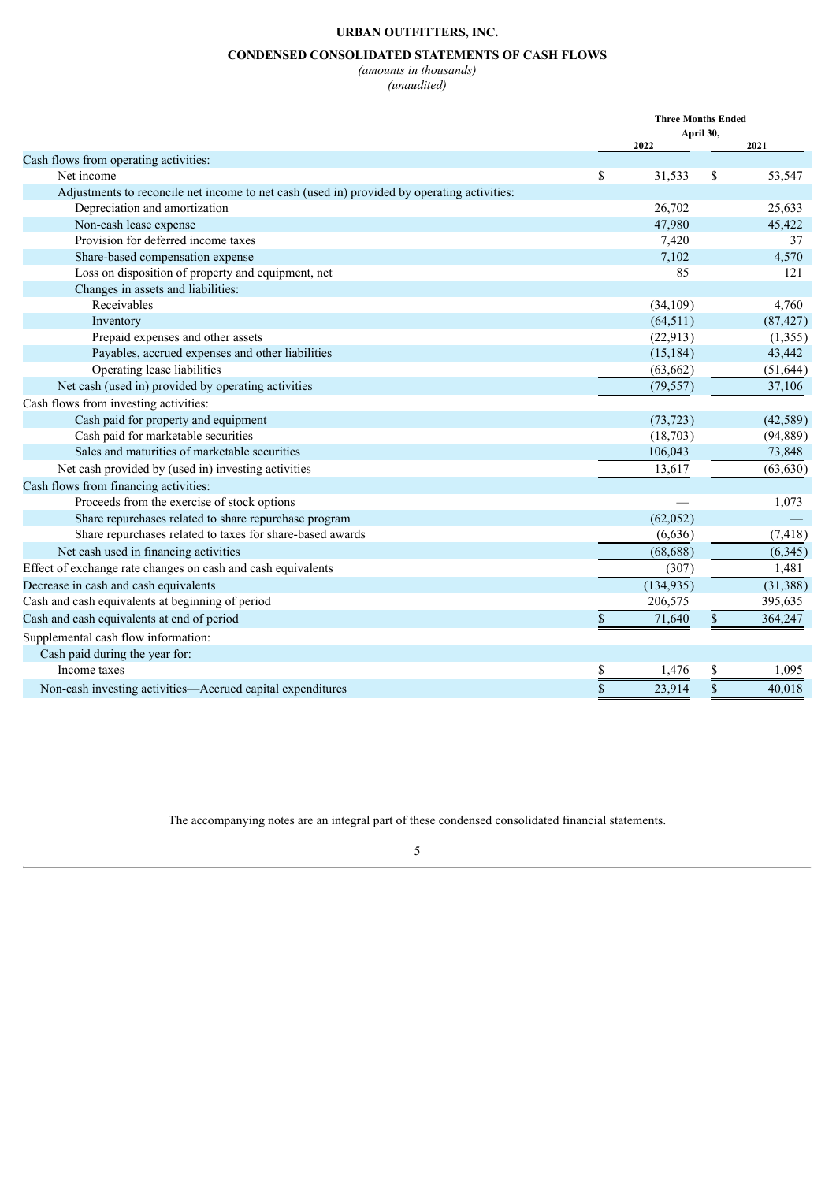# **CONDENSED CONSOLIDATED STATEMENTS OF CASH FLOWS**

*(amounts in thousands) (unaudited)*

<span id="page-6-0"></span>

|                                                                                             |                 | <b>Three Months Ended</b> | April 30,     |           |
|---------------------------------------------------------------------------------------------|-----------------|---------------------------|---------------|-----------|
|                                                                                             |                 | 2022                      |               | 2021      |
| Cash flows from operating activities:                                                       |                 |                           |               |           |
| Net income                                                                                  | \$              | 31,533                    | <sup>\$</sup> | 53,547    |
| Adjustments to reconcile net income to net cash (used in) provided by operating activities: |                 |                           |               |           |
| Depreciation and amortization                                                               |                 | 26,702                    |               | 25,633    |
| Non-cash lease expense                                                                      |                 | 47,980                    |               | 45,422    |
| Provision for deferred income taxes                                                         |                 | 7,420                     |               | 37        |
| Share-based compensation expense                                                            |                 | 7,102                     |               | 4,570     |
| Loss on disposition of property and equipment, net                                          |                 | 85                        |               | 121       |
| Changes in assets and liabilities:                                                          |                 |                           |               |           |
| Receivables                                                                                 |                 | (34,109)                  |               | 4,760     |
| Inventory                                                                                   |                 | (64, 511)                 |               | (87, 427) |
| Prepaid expenses and other assets                                                           |                 | (22, 913)                 |               | (1,355)   |
| Payables, accrued expenses and other liabilities                                            |                 | (15, 184)                 |               | 43,442    |
| Operating lease liabilities                                                                 |                 | (63, 662)                 |               | (51, 644) |
| Net cash (used in) provided by operating activities                                         |                 | (79, 557)                 |               | 37,106    |
| Cash flows from investing activities:                                                       |                 |                           |               |           |
| Cash paid for property and equipment                                                        |                 | (73, 723)                 |               | (42, 589) |
| Cash paid for marketable securities                                                         |                 | (18,703)                  |               | (94, 889) |
| Sales and maturities of marketable securities                                               |                 | 106,043                   |               | 73,848    |
| Net cash provided by (used in) investing activities                                         |                 | 13,617                    |               | (63, 630) |
| Cash flows from financing activities:                                                       |                 |                           |               |           |
| Proceeds from the exercise of stock options                                                 |                 |                           |               | 1,073     |
| Share repurchases related to share repurchase program                                       |                 | (62,052)                  |               |           |
| Share repurchases related to taxes for share-based awards                                   |                 | (6, 636)                  |               | (7, 418)  |
| Net cash used in financing activities                                                       |                 | (68, 688)                 |               | (6, 345)  |
| Effect of exchange rate changes on cash and cash equivalents                                |                 | (307)                     |               | 1,481     |
| Decrease in cash and cash equivalents                                                       |                 | (134, 935)                |               | (31, 388) |
| Cash and cash equivalents at beginning of period                                            |                 | 206,575                   |               | 395,635   |
| Cash and cash equivalents at end of period                                                  | \$              | 71,640                    | \$            | 364,247   |
| Supplemental cash flow information:                                                         |                 |                           |               |           |
| Cash paid during the year for:                                                              |                 |                           |               |           |
| Income taxes                                                                                | \$              | 1,476                     | \$            | 1,095     |
| Non-cash investing activities—Accrued capital expenditures                                  | $\overline{\$}$ | 23,914                    | $\mathbb{S}$  | 40.018    |

The accompanying notes are an integral part of these condensed consolidated financial statements.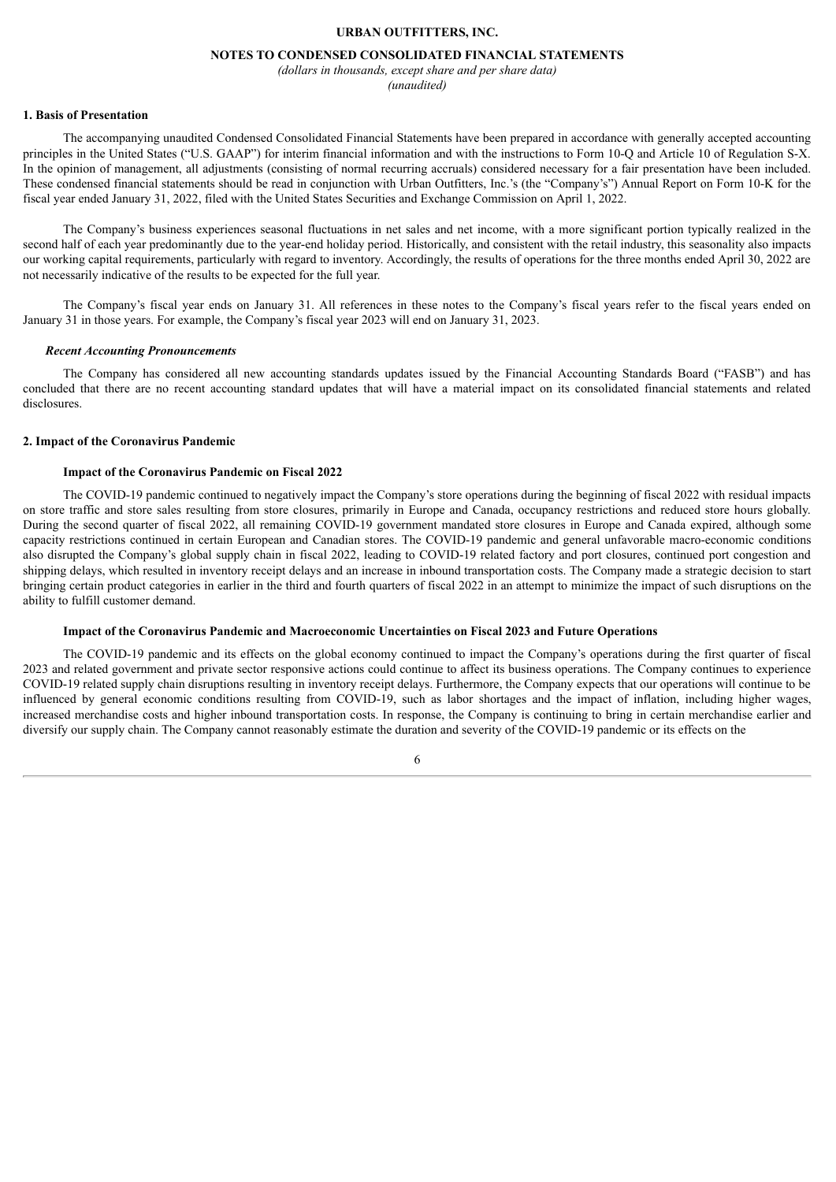# **NOTES TO CONDENSED CONSOLIDATED FINANCIAL STATEMENTS**

*(dollars in thousands, except share and per share data) (unaudited)*

#### <span id="page-7-0"></span>**1. Basis of Presentation**

The accompanying unaudited Condensed Consolidated Financial Statements have been prepared in accordance with generally accepted accounting principles in the United States ("U.S. GAAP") for interim financial information and with the instructions to Form 10-Q and Article 10 of Regulation S-X. In the opinion of management, all adjustments (consisting of normal recurring accruals) considered necessary for a fair presentation have been included. These condensed financial statements should be read in conjunction with Urban Outfitters, Inc.'s (the "Company's") Annual Report on Form 10-K for the fiscal year ended January 31, 2022, filed with the United States Securities and Exchange Commission on April 1, 2022.

The Company's business experiences seasonal fluctuations in net sales and net income, with a more significant portion typically realized in the second half of each year predominantly due to the year-end holiday period. Historically, and consistent with the retail industry, this seasonality also impacts our working capital requirements, particularly with regard to inventory. Accordingly, the results of operations for the three months ended April 30, 2022 are not necessarily indicative of the results to be expected for the full year.

The Company's fiscal year ends on January 31. All references in these notes to the Company's fiscal years refer to the fiscal years ended on January 31 in those years. For example, the Company's fiscal year 2023 will end on January 31, 2023.

#### *Recent Accounting Pronouncements*

The Company has considered all new accounting standards updates issued by the Financial Accounting Standards Board ("FASB") and has concluded that there are no recent accounting standard updates that will have a material impact on its consolidated financial statements and related **disclosures** 

# **2. Impact of the Coronavirus Pandemic**

#### **Impact of the Coronavirus Pandemic on Fiscal 2022**

The COVID-19 pandemic continued to negatively impact the Company's store operations during the beginning of fiscal 2022 with residual impacts on store traffic and store sales resulting from store closures, primarily in Europe and Canada, occupancy restrictions and reduced store hours globally. During the second quarter of fiscal 2022, all remaining COVID-19 government mandated store closures in Europe and Canada expired, although some capacity restrictions continued in certain European and Canadian stores. The COVID-19 pandemic and general unfavorable macro-economic conditions also disrupted the Company's global supply chain in fiscal 2022, leading to COVID-19 related factory and port closures, continued port congestion and shipping delays, which resulted in inventory receipt delays and an increase in inbound transportation costs. The Company made a strategic decision to start bringing certain product categories in earlier in the third and fourth quarters of fiscal 2022 in an attempt to minimize the impact of such disruptions on the ability to fulfill customer demand.

#### **Impact of the Coronavirus Pandemic and Macroeconomic Uncertainties on Fiscal 2023 and Future Operations**

The COVID-19 pandemic and its effects on the global economy continued to impact the Company's operations during the first quarter of fiscal 2023 and related government and private sector responsive actions could continue to affect its business operations. The Company continues to experience COVID-19 related supply chain disruptions resulting in inventory receipt delays. Furthermore, the Company expects that our operations will continue to be influenced by general economic conditions resulting from COVID-19, such as labor shortages and the impact of inflation, including higher wages, increased merchandise costs and higher inbound transportation costs. In response, the Company is continuing to bring in certain merchandise earlier and diversify our supply chain. The Company cannot reasonably estimate the duration and severity of the COVID-19 pandemic or its effects on the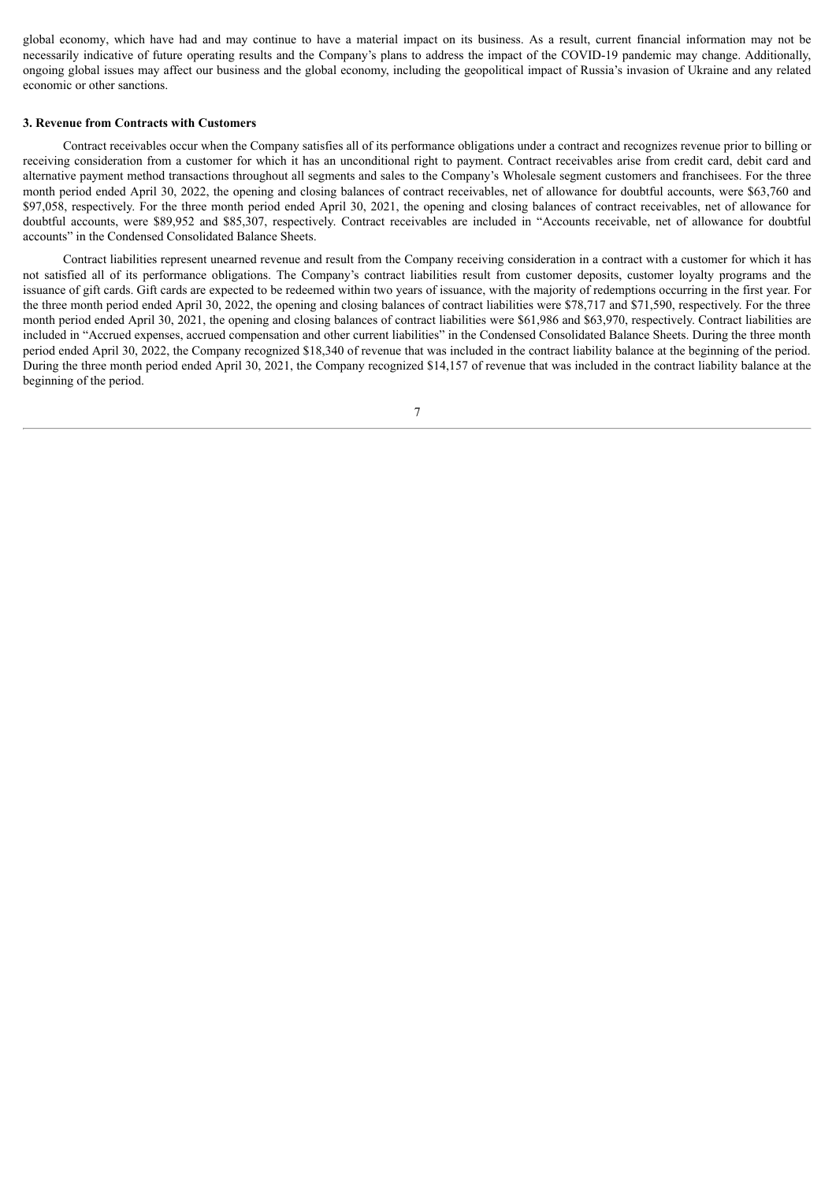global economy, which have had and may continue to have a material impact on its business. As a result, current financial information may not be necessarily indicative of future operating results and the Company's plans to address the impact of the COVID-19 pandemic may change. Additionally, ongoing global issues may affect our business and the global economy, including the geopolitical impact of Russia's invasion of Ukraine and any related economic or other sanctions.

### **3. Revenue from Contracts with Customers**

Contract receivables occur when the Company satisfies all of its performance obligations under a contract and recognizes revenue prior to billing or receiving consideration from a customer for which it has an unconditional right to payment. Contract receivables arise from credit card, debit card and alternative payment method transactions throughout all segments and sales to the Company's Wholesale segment customers and franchisees. For the three month period ended April 30, 2022, the opening and closing balances of contract receivables, net of allowance for doubtful accounts, were \$63,760 and \$97,058, respectively. For the three month period ended April 30, 2021, the opening and closing balances of contract receivables, net of allowance for doubtful accounts, were \$89,952 and \$85,307, respectively. Contract receivables are included in "Accounts receivable, net of allowance for doubtful accounts" in the Condensed Consolidated Balance Sheets.

Contract liabilities represent unearned revenue and result from the Company receiving consideration in a contract with a customer for which it has not satisfied all of its performance obligations. The Company's contract liabilities result from customer deposits, customer loyalty programs and the issuance of gift cards. Gift cards are expected to be redeemed within two years of issuance, with the majority of redemptions occurring in the first year. For the three month period ended April 30, 2022, the opening and closing balances of contract liabilities were \$78,717 and \$71,590, respectively. For the three month period ended April 30, 2021, the opening and closing balances of contract liabilities were \$61,986 and \$63,970, respectively. Contract liabilities are included in "Accrued expenses, accrued compensation and other current liabilities" in the Condensed Consolidated Balance Sheets. During the three month period ended April 30, 2022, the Company recognized \$18,340 of revenue that was included in the contract liability balance at the beginning of the period. During the three month period ended April 30, 2021, the Company recognized \$14,157 of revenue that was included in the contract liability balance at the beginning of the period.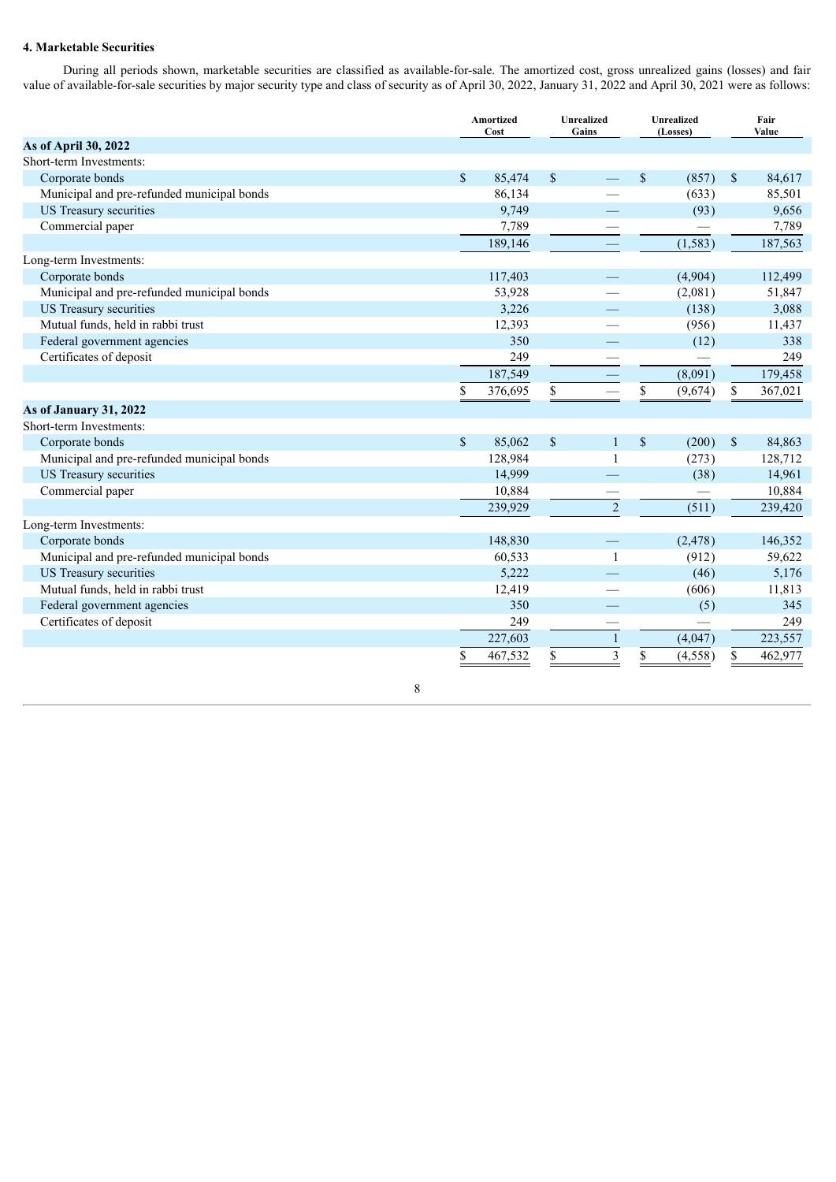# **4. Marketable Securities**

During all periods shown, marketable securities are classified as available-for-sale. The amortized cost, gross unrealized gains (losses) and fair value of available-for-sale securities by major security type and class of security as of April 30, 2022, January 31, 2022 and April 30, 2021 were as follows:

|                                            | Amortized<br>Cost |         | Unrealized<br>Gains |                         | Unrealized<br>(Losses) |          |               | Fair<br>Value |
|--------------------------------------------|-------------------|---------|---------------------|-------------------------|------------------------|----------|---------------|---------------|
| As of April 30, 2022                       |                   |         |                     |                         |                        |          |               |               |
| Short-term Investments:                    |                   |         |                     |                         |                        |          |               |               |
| Corporate bonds                            | \$                | 85,474  | $\$$                |                         | \$                     | (857)    | $\mathcal{S}$ | 84,617        |
| Municipal and pre-refunded municipal bonds |                   | 86,134  |                     |                         |                        | (633)    |               | 85,501        |
| US Treasury securities                     |                   | 9,749   |                     |                         |                        | (93)     |               | 9,656         |
| Commercial paper                           |                   | 7,789   |                     |                         |                        |          |               | 7,789         |
|                                            |                   | 189,146 |                     |                         |                        | (1, 583) |               | 187,563       |
| Long-term Investments:                     |                   |         |                     |                         |                        |          |               |               |
| Corporate bonds                            |                   | 117,403 |                     |                         |                        | (4,904)  |               | 112,499       |
| Municipal and pre-refunded municipal bonds |                   | 53,928  |                     |                         |                        | (2,081)  |               | 51,847        |
| US Treasury securities                     |                   | 3,226   |                     |                         |                        | (138)    |               | 3,088         |
| Mutual funds, held in rabbi trust          |                   | 12,393  |                     |                         |                        | (956)    |               | 11,437        |
| Federal government agencies                |                   | 350     |                     |                         |                        | (12)     |               | 338           |
| Certificates of deposit                    |                   | 249     |                     |                         |                        |          |               | 249           |
|                                            |                   | 187,549 |                     |                         |                        | (8,091)  |               | 179,458       |
|                                            | \$                | 376,695 | \$                  |                         | \$                     | (9,674)  | \$            | 367,021       |
| <b>As of January 31, 2022</b>              |                   |         |                     |                         |                        |          |               |               |
| Short-term Investments:                    |                   |         |                     |                         |                        |          |               |               |
| Corporate bonds                            | $\mathbf S$       | 85,062  | $\mathbf S$         | $\mathbf{1}$            | $\mathbf S$            | (200)    | $\mathbf S$   | 84,863        |
| Municipal and pre-refunded municipal bonds |                   | 128,984 |                     |                         |                        | (273)    |               | 128,712       |
| US Treasury securities                     |                   | 14,999  |                     |                         |                        | (38)     |               | 14,961        |
| Commercial paper                           |                   | 10,884  |                     |                         |                        |          |               | 10,884        |
|                                            |                   | 239,929 |                     | $\overline{2}$          |                        | (511)    |               | 239,420       |
| Long-term Investments:                     |                   |         |                     |                         |                        |          |               |               |
| Corporate bonds                            |                   | 148,830 |                     |                         |                        | (2, 478) |               | 146,352       |
| Municipal and pre-refunded municipal bonds |                   | 60,533  |                     | $\mathbf{1}$            |                        | (912)    |               | 59,622        |
| US Treasury securities                     |                   | 5,222   |                     |                         |                        | (46)     |               | 5,176         |
| Mutual funds, held in rabbi trust          |                   | 12,419  |                     |                         |                        | (606)    |               | 11,813        |
| Federal government agencies                |                   | 350     |                     |                         |                        | (5)      |               | 345           |
| Certificates of deposit                    |                   | 249     |                     |                         |                        |          |               | 249           |
|                                            |                   | 227,603 |                     | $\mathbf{1}$            |                        | (4,047)  |               | 223,557       |
|                                            | \$                | 467,532 | \$                  | $\overline{\mathbf{3}}$ | \$                     | (4, 558) | \$            | 462,977       |

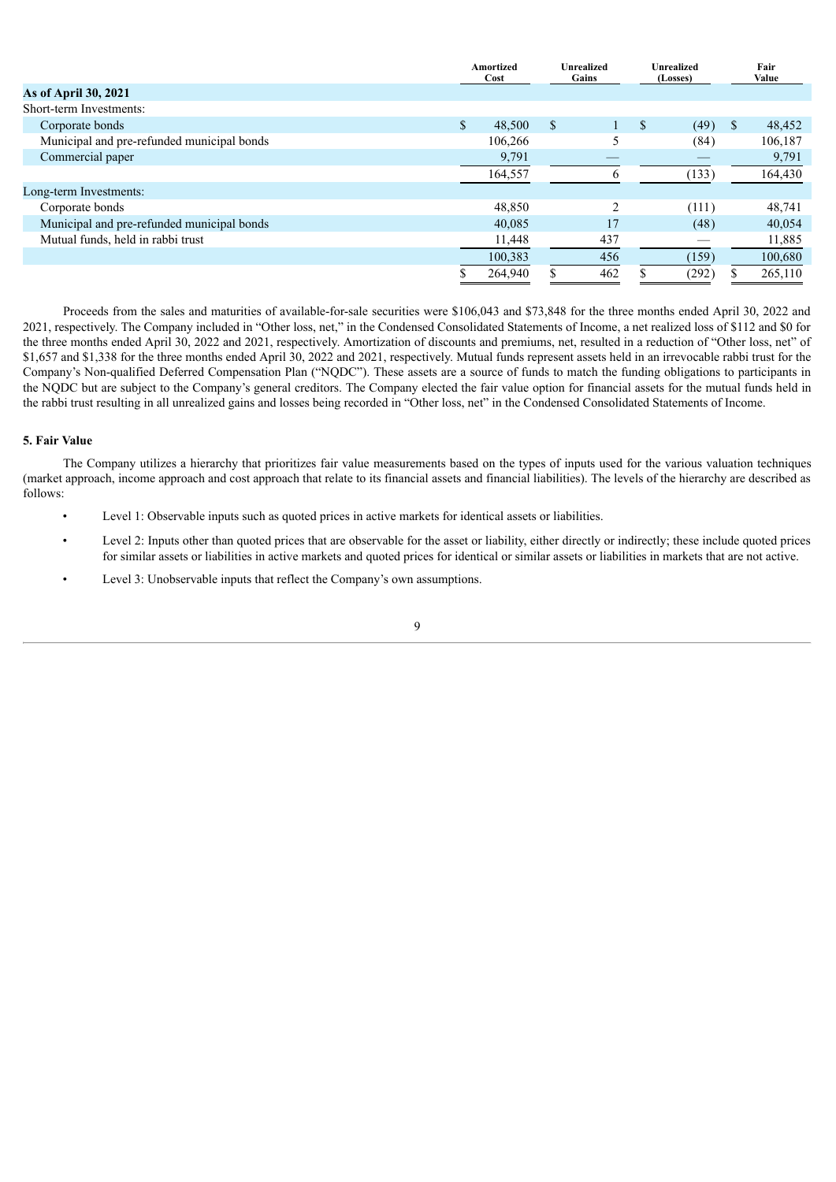|                                            | <b>Amortized</b><br>Cost |         | <b>Unrealized</b><br>Gains |               | <b>Unrealized</b><br>(Losses) |       |               | Fair<br>Value |
|--------------------------------------------|--------------------------|---------|----------------------------|---------------|-------------------------------|-------|---------------|---------------|
| As of April 30, 2021                       |                          |         |                            |               |                               |       |               |               |
| Short-term Investments:                    |                          |         |                            |               |                               |       |               |               |
| Corporate bonds                            | \$                       | 48.500  | $\mathbf S$                |               | S.                            | (49)  | <sup>\$</sup> | 48,452        |
| Municipal and pre-refunded municipal bonds |                          | 106,266 |                            |               |                               | (84)  |               | 106,187       |
| Commercial paper                           |                          | 9,791   |                            |               |                               |       |               | 9,791         |
|                                            |                          | 164,557 |                            | b             |                               | (133) |               | 164,430       |
| Long-term Investments:                     |                          |         |                            |               |                               |       |               |               |
| Corporate bonds                            |                          | 48,850  |                            | $\mathcal{D}$ |                               | (111) |               | 48,741        |
| Municipal and pre-refunded municipal bonds |                          | 40,085  |                            | 17            |                               | (48)  |               | 40,054        |
| Mutual funds, held in rabbi trust          |                          | 11,448  |                            | 437           |                               |       |               | 11,885        |
|                                            |                          | 100,383 |                            | 456           |                               | (159) |               | 100,680       |
|                                            |                          | 264,940 |                            | 462           |                               | (292) |               | 265,110       |

Proceeds from the sales and maturities of available-for-sale securities were \$106,043 and \$73,848 for the three months ended April 30, 2022 and 2021, respectively. The Company included in "Other loss, net," in the Condensed Consolidated Statements of Income, a net realized loss of \$112 and \$0 for the three months ended April 30, 2022 and 2021, respectively. Amortization of discounts and premiums, net, resulted in a reduction of "Other loss, net" of \$1,657 and \$1,338 for the three months ended April 30, 2022 and 2021, respectively. Mutual funds represent assets held in an irrevocable rabbi trust for the Company's Non-qualified Deferred Compensation Plan ("NQDC"). These assets are a source of funds to match the funding obligations to participants in the NQDC but are subject to the Company's general creditors. The Company elected the fair value option for financial assets for the mutual funds held in the rabbi trust resulting in all unrealized gains and losses being recorded in "Other loss, net" in the Condensed Consolidated Statements of Income.

# **5. Fair Value**

The Company utilizes a hierarchy that prioritizes fair value measurements based on the types of inputs used for the various valuation techniques (market approach, income approach and cost approach that relate to its financial assets and financial liabilities). The levels of the hierarchy are described as follows:

- Level 1: Observable inputs such as quoted prices in active markets for identical assets or liabilities.
- Level 2: Inputs other than quoted prices that are observable for the asset or liability, either directly or indirectly; these include quoted prices for similar assets or liabilities in active markets and quoted prices for identical or similar assets or liabilities in markets that are not active.
- Level 3: Unobservable inputs that reflect the Company's own assumptions.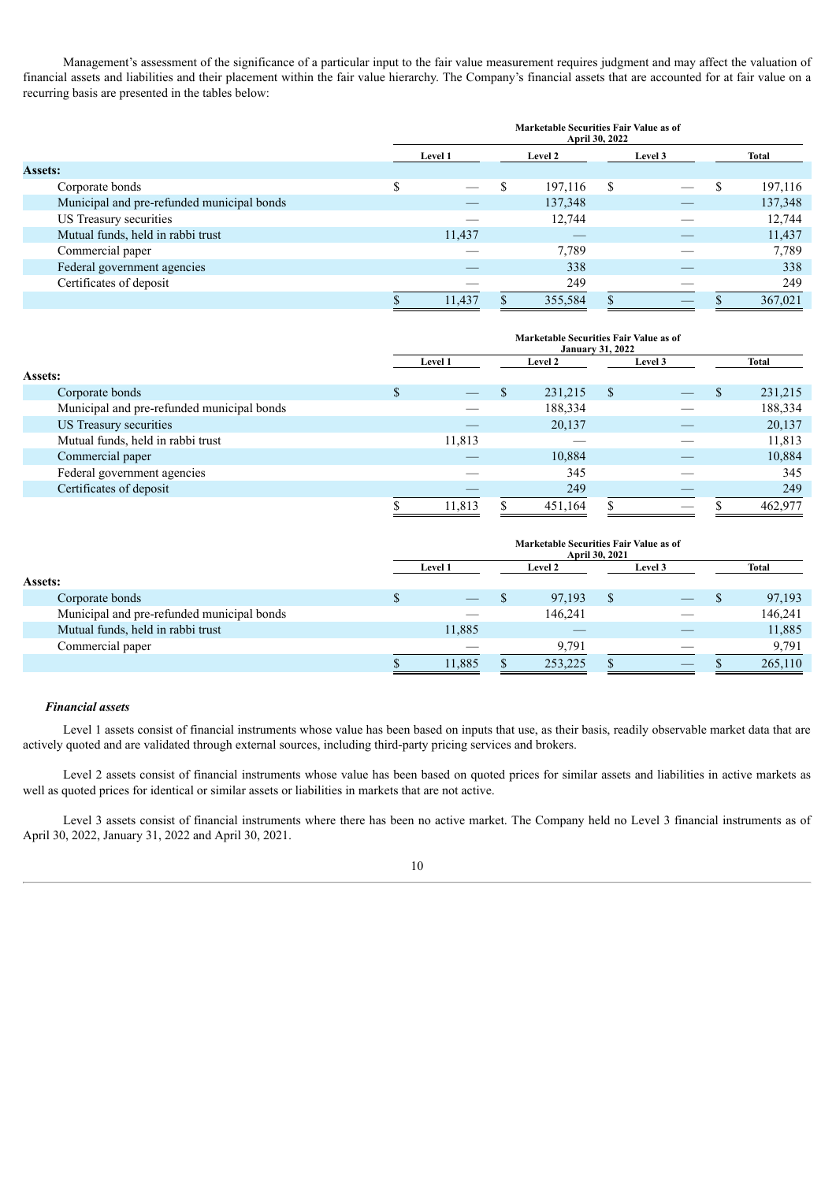Management's assessment of the significance of a particular input to the fair value measurement requires judgment and may affect the valuation of financial assets and liabilities and their placement within the fair value hierarchy. The Company's financial assets that are accounted for at fair value on a recurring basis are presented in the tables below:

|                                            | Marketable Securities Fair Value as of<br>April 30, 2022 |         |  |                |   |         |  |         |  |  |  |
|--------------------------------------------|----------------------------------------------------------|---------|--|----------------|---|---------|--|---------|--|--|--|
|                                            |                                                          | Level 1 |  | <b>Level 2</b> |   | Level 3 |  | Total   |  |  |  |
| <b>Assets:</b>                             |                                                          |         |  |                |   |         |  |         |  |  |  |
| Corporate bonds                            | \$                                                       |         |  | 197,116        | S |         |  | 197,116 |  |  |  |
| Municipal and pre-refunded municipal bonds |                                                          |         |  | 137,348        |   |         |  | 137,348 |  |  |  |
| US Treasury securities                     |                                                          |         |  | 12,744         |   |         |  | 12.744  |  |  |  |
| Mutual funds, held in rabbi trust          |                                                          | 11,437  |  |                |   |         |  | 11,437  |  |  |  |
| Commercial paper                           |                                                          |         |  | 7,789          |   |         |  | 7,789   |  |  |  |
| Federal government agencies                |                                                          |         |  | 338            |   |         |  | 338     |  |  |  |
| Certificates of deposit                    |                                                          |         |  | 249            |   |         |  | 249     |  |  |  |
|                                            |                                                          | 11,437  |  | 355,584        |   |         |  | 367,021 |  |  |  |

|                                            | Marketable Securities Fair Value as of<br><b>January 31, 2022</b> |   |         |              |         |  |         |  |  |  |  |
|--------------------------------------------|-------------------------------------------------------------------|---|---------|--------------|---------|--|---------|--|--|--|--|
|                                            | Level 1                                                           |   | Level 2 |              | Level 3 |  | Total   |  |  |  |  |
| Assets:                                    |                                                                   |   |         |              |         |  |         |  |  |  |  |
| Corporate bonds                            |                                                                   | ъ | 231,215 | <sup>S</sup> |         |  | 231,215 |  |  |  |  |
| Municipal and pre-refunded municipal bonds |                                                                   |   | 188,334 |              |         |  | 188,334 |  |  |  |  |
| US Treasury securities                     |                                                                   |   | 20,137  |              |         |  | 20,137  |  |  |  |  |
| Mutual funds, held in rabbi trust          | 11,813                                                            |   |         |              |         |  | 11,813  |  |  |  |  |
| Commercial paper                           |                                                                   |   | 10,884  |              |         |  | 10,884  |  |  |  |  |
| Federal government agencies                |                                                                   |   | 345     |              |         |  | 345     |  |  |  |  |
| Certificates of deposit                    |                                                                   |   | 249     |              |         |  | 249     |  |  |  |  |
|                                            | 11.813                                                            |   | 451,164 |              |         |  | 462,977 |  |  |  |  |

|         |                                            | Marketable Securities Fair Value as of<br><b>April 30, 2021</b> |  |                |  |         |  |         |  |  |
|---------|--------------------------------------------|-----------------------------------------------------------------|--|----------------|--|---------|--|---------|--|--|
|         |                                            | Level 1                                                         |  | <b>Level 2</b> |  | Level 3 |  | Total   |  |  |
| Assets: |                                            |                                                                 |  |                |  |         |  |         |  |  |
|         | Corporate bonds                            |                                                                 |  | 97,193         |  |         |  | 97,193  |  |  |
|         | Municipal and pre-refunded municipal bonds |                                                                 |  | 146.241        |  |         |  | 146,241 |  |  |
|         | Mutual funds, held in rabbi trust          | 11,885                                                          |  |                |  |         |  | 11,885  |  |  |
|         | Commercial paper                           |                                                                 |  | 9,791          |  |         |  | 9,791   |  |  |
|         |                                            | 11,885                                                          |  | 253,225        |  |         |  | 265,110 |  |  |

# *Financial assets*

Level 1 assets consist of financial instruments whose value has been based on inputs that use, as their basis, readily observable market data that are actively quoted and are validated through external sources, including third-party pricing services and brokers.

Level 2 assets consist of financial instruments whose value has been based on quoted prices for similar assets and liabilities in active markets as well as quoted prices for identical or similar assets or liabilities in markets that are not active.

Level 3 assets consist of financial instruments where there has been no active market. The Company held no Level 3 financial instruments as of April 30, 2022, January 31, 2022 and April 30, 2021.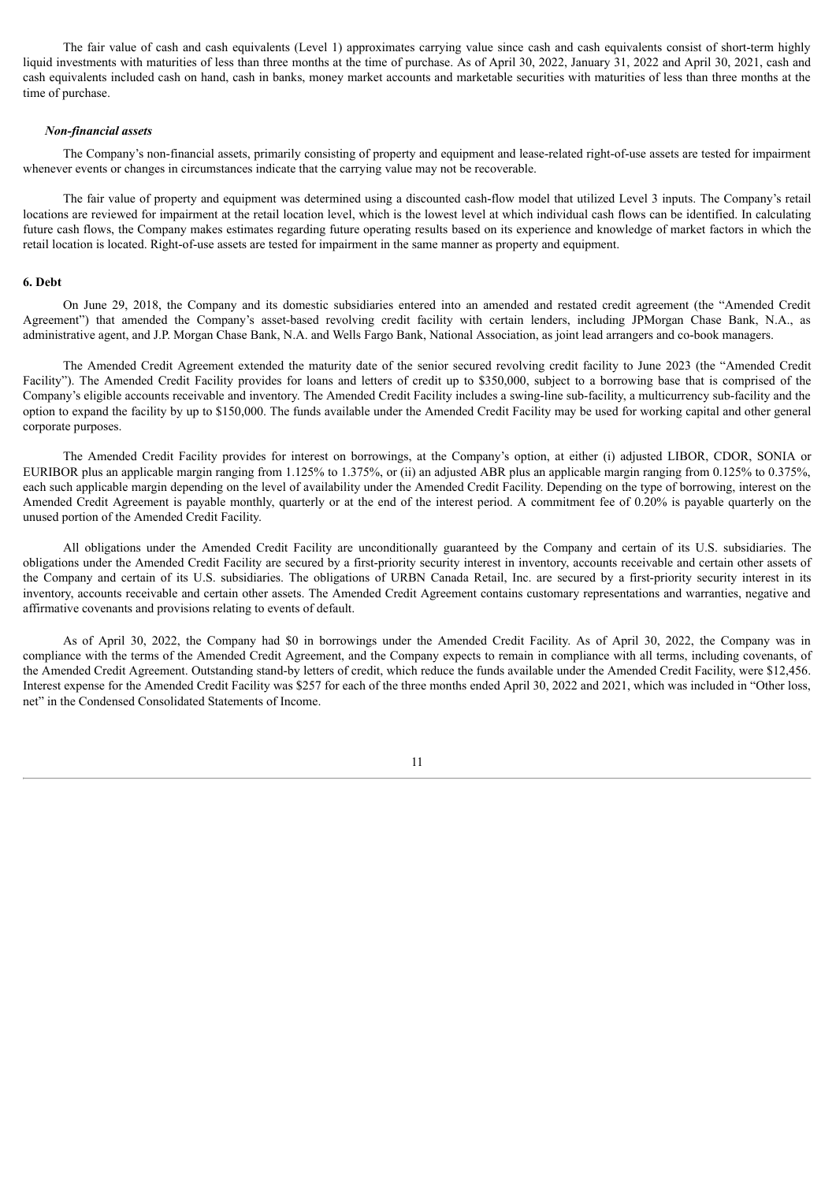The fair value of cash and cash equivalents (Level 1) approximates carrying value since cash and cash equivalents consist of short-term highly liquid investments with maturities of less than three months at the time of purchase. As of April 30, 2022, January 31, 2022 and April 30, 2021, cash and cash equivalents included cash on hand, cash in banks, money market accounts and marketable securities with maturities of less than three months at the time of purchase.

#### *Non-financial assets*

The Company's non-financial assets, primarily consisting of property and equipment and lease-related right-of-use assets are tested for impairment whenever events or changes in circumstances indicate that the carrying value may not be recoverable.

The fair value of property and equipment was determined using a discounted cash-flow model that utilized Level 3 inputs. The Company's retail locations are reviewed for impairment at the retail location level, which is the lowest level at which individual cash flows can be identified. In calculating future cash flows, the Company makes estimates regarding future operating results based on its experience and knowledge of market factors in which the retail location is located. Right-of-use assets are tested for impairment in the same manner as property and equipment.

#### **6. Debt**

On June 29, 2018, the Company and its domestic subsidiaries entered into an amended and restated credit agreement (the "Amended Credit Agreement") that amended the Company's asset-based revolving credit facility with certain lenders, including JPMorgan Chase Bank, N.A., as administrative agent, and J.P. Morgan Chase Bank, N.A. and Wells Fargo Bank, National Association, as joint lead arrangers and co-book managers.

The Amended Credit Agreement extended the maturity date of the senior secured revolving credit facility to June 2023 (the "Amended Credit Facility"). The Amended Credit Facility provides for loans and letters of credit up to \$350,000, subject to a borrowing base that is comprised of the Company's eligible accounts receivable and inventory. The Amended Credit Facility includes a swing-line sub-facility, a multicurrency sub-facility and the option to expand the facility by up to \$150,000. The funds available under the Amended Credit Facility may be used for working capital and other general corporate purposes.

The Amended Credit Facility provides for interest on borrowings, at the Company's option, at either (i) adjusted LIBOR, CDOR, SONIA or EURIBOR plus an applicable margin ranging from 1.125% to 1.375%, or (ii) an adjusted ABR plus an applicable margin ranging from 0.125% to 0.375%, each such applicable margin depending on the level of availability under the Amended Credit Facility. Depending on the type of borrowing, interest on the Amended Credit Agreement is payable monthly, quarterly or at the end of the interest period. A commitment fee of 0.20% is payable quarterly on the unused portion of the Amended Credit Facility.

All obligations under the Amended Credit Facility are unconditionally guaranteed by the Company and certain of its U.S. subsidiaries. The obligations under the Amended Credit Facility are secured by a first-priority security interest in inventory, accounts receivable and certain other assets of the Company and certain of its U.S. subsidiaries. The obligations of URBN Canada Retail, Inc. are secured by a first-priority security interest in its inventory, accounts receivable and certain other assets. The Amended Credit Agreement contains customary representations and warranties, negative and affirmative covenants and provisions relating to events of default.

As of April 30, 2022, the Company had \$0 in borrowings under the Amended Credit Facility. As of April 30, 2022, the Company was in compliance with the terms of the Amended Credit Agreement, and the Company expects to remain in compliance with all terms, including covenants, of the Amended Credit Agreement. Outstanding stand-by letters of credit, which reduce the funds available under the Amended Credit Facility, were \$12,456. Interest expense for the Amended Credit Facility was \$257 for each of the three months ended April 30, 2022 and 2021, which was included in "Other loss, net" in the Condensed Consolidated Statements of Income.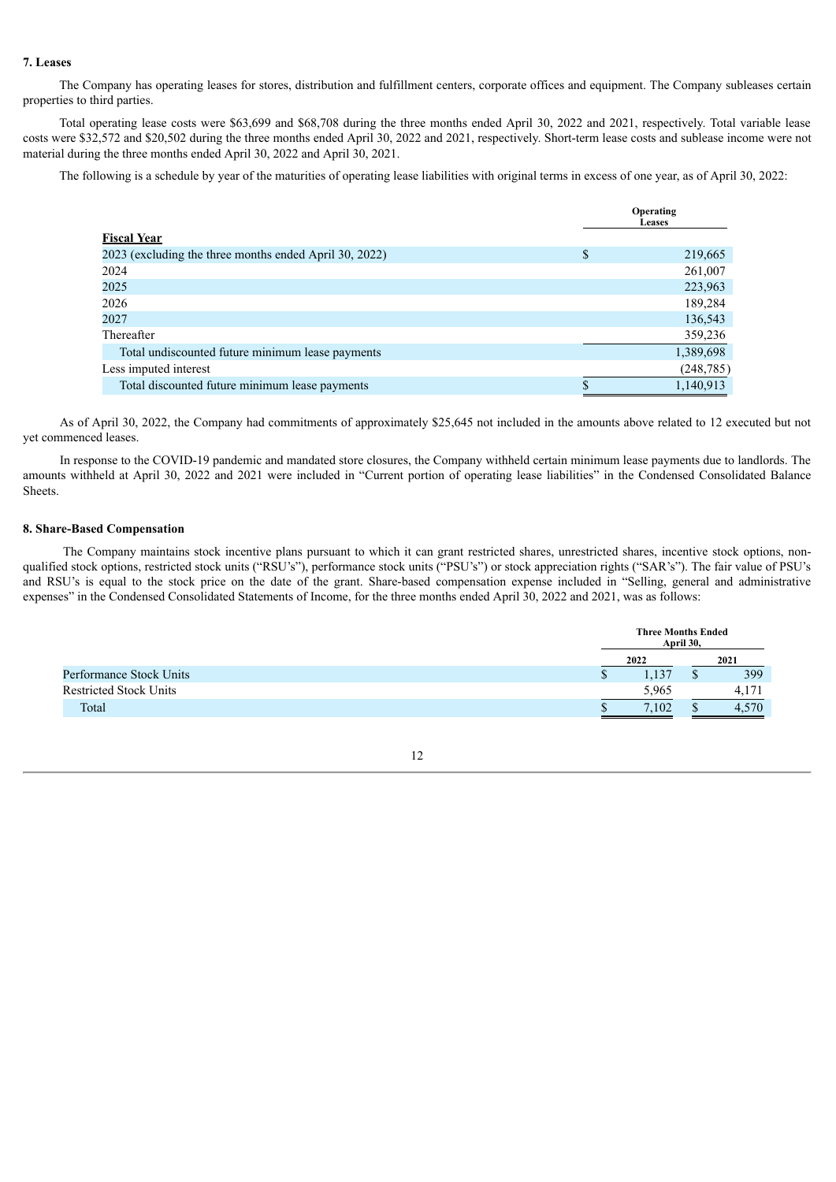### **7. Leases**

The Company has operating leases for stores, distribution and fulfillment centers, corporate offices and equipment. The Company subleases certain properties to third parties.

Total operating lease costs were \$63,699 and \$68,708 during the three months ended April 30, 2022 and 2021, respectively. Total variable lease costs were \$32,572 and \$20,502 during the three months ended April 30, 2022 and 2021, respectively. Short-term lease costs and sublease income were not material during the three months ended April 30, 2022 and April 30, 2021.

The following is a schedule by year of the maturities of operating lease liabilities with original terms in excess of one year, as of April 30, 2022:

|                                                        | Operating<br><b>Leases</b> |  |  |  |
|--------------------------------------------------------|----------------------------|--|--|--|
| <b>Fiscal Year</b>                                     |                            |  |  |  |
| 2023 (excluding the three months ended April 30, 2022) | \$<br>219,665              |  |  |  |
| 2024                                                   | 261,007                    |  |  |  |
| 2025                                                   | 223,963                    |  |  |  |
| 2026                                                   | 189,284                    |  |  |  |
| 2027                                                   | 136,543                    |  |  |  |
| Thereafter                                             | 359,236                    |  |  |  |
| Total undiscounted future minimum lease payments       | 1,389,698                  |  |  |  |
| Less imputed interest                                  | (248, 785)                 |  |  |  |
| Total discounted future minimum lease payments         | 1,140,913                  |  |  |  |

As of April 30, 2022, the Company had commitments of approximately \$25,645 not included in the amounts above related to 12 executed but not yet commenced leases.

In response to the COVID-19 pandemic and mandated store closures, the Company withheld certain minimum lease payments due to landlords. The amounts withheld at April 30, 2022 and 2021 were included in "Current portion of operating lease liabilities" in the Condensed Consolidated Balance **Sheets** 

# **8. Share-Based Compensation**

The Company maintains stock incentive plans pursuant to which it can grant restricted shares, unrestricted shares, incentive stock options, nonqualified stock options, restricted stock units ("RSU's"), performance stock units ("PSU's") or stock appreciation rights ("SAR's"). The fair value of PSU's and RSU's is equal to the stock price on the date of the grant. Share-based compensation expense included in "Selling, general and administrative expenses" in the Condensed Consolidated Statements of Income, for the three months ended April 30, 2022 and 2021, was as follows:

|                               | <b>Three Months Ended</b><br>April 30, |       |  |  |  |
|-------------------------------|----------------------------------------|-------|--|--|--|
|                               | 2022                                   | 2021  |  |  |  |
| Performance Stock Units       | 1,137                                  | 399   |  |  |  |
| <b>Restricted Stock Units</b> | 5.965                                  | 4.171 |  |  |  |
| Total                         | 7.102                                  | 4.570 |  |  |  |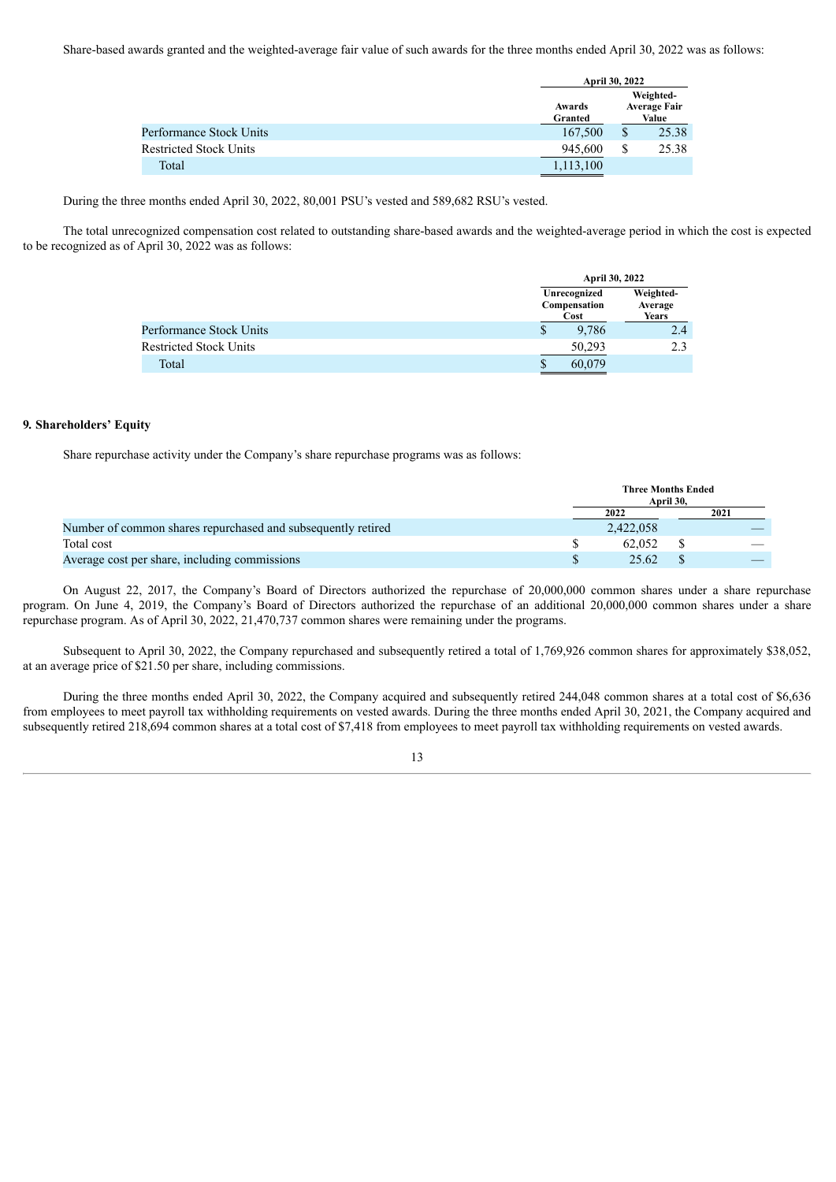Share-based awards granted and the weighted-average fair value of such awards for the three months ended April 30, 2022 was as follows:

|                               |                   | April 30, 2022 |                                           |  |  |
|-------------------------------|-------------------|----------------|-------------------------------------------|--|--|
|                               | Awards<br>Granted |                | Weighted-<br><b>Average Fair</b><br>Value |  |  |
| Performance Stock Units       | 167,500           | \$             | 25.38                                     |  |  |
| <b>Restricted Stock Units</b> | 945,600           | \$             | 25.38                                     |  |  |
| Total                         | 1,113,100         |                |                                           |  |  |

During the three months ended April 30, 2022, 80,001 PSU's vested and 589,682 RSU's vested.

The total unrecognized compensation cost related to outstanding share-based awards and the weighted-average period in which the cost is expected to be recognized as of April 30, 2022 was as follows:

|                               | April 30, 2022                       |                                      |
|-------------------------------|--------------------------------------|--------------------------------------|
|                               | Unrecognized<br>Compensation<br>Cost | Weighted-<br>Average<br><b>Years</b> |
| Performance Stock Units       | 9,786<br>S                           | 2.4                                  |
| <b>Restricted Stock Units</b> | 50,293                               | 2.3                                  |
| Total                         | 60,079                               |                                      |

# **9***.* **Shareholders' Equity**

Share repurchase activity under the Company's share repurchase programs was as follows:

|                                                              | <b>Three Months Ended</b> | April 30, |      |
|--------------------------------------------------------------|---------------------------|-----------|------|
|                                                              | 2022                      |           | 2021 |
| Number of common shares repurchased and subsequently retired | 2.422,058                 |           |      |
| Total cost                                                   | 62.052                    |           |      |
| Average cost per share, including commissions                | 25.62                     |           |      |

On August 22, 2017, the Company's Board of Directors authorized the repurchase of 20,000,000 common shares under a share repurchase program. On June 4, 2019, the Company's Board of Directors authorized the repurchase of an additional 20,000,000 common shares under a share repurchase program. As of April 30, 2022, 21,470,737 common shares were remaining under the programs.

Subsequent to April 30, 2022, the Company repurchased and subsequently retired a total of 1,769,926 common shares for approximately \$38,052, at an average price of \$21.50 per share, including commissions.

During the three months ended April 30, 2022, the Company acquired and subsequently retired 244,048 common shares at a total cost of \$6,636 from employees to meet payroll tax withholding requirements on vested awards. During the three months ended April 30, 2021, the Company acquired and subsequently retired 218,694 common shares at a total cost of \$7,418 from employees to meet payroll tax withholding requirements on vested awards.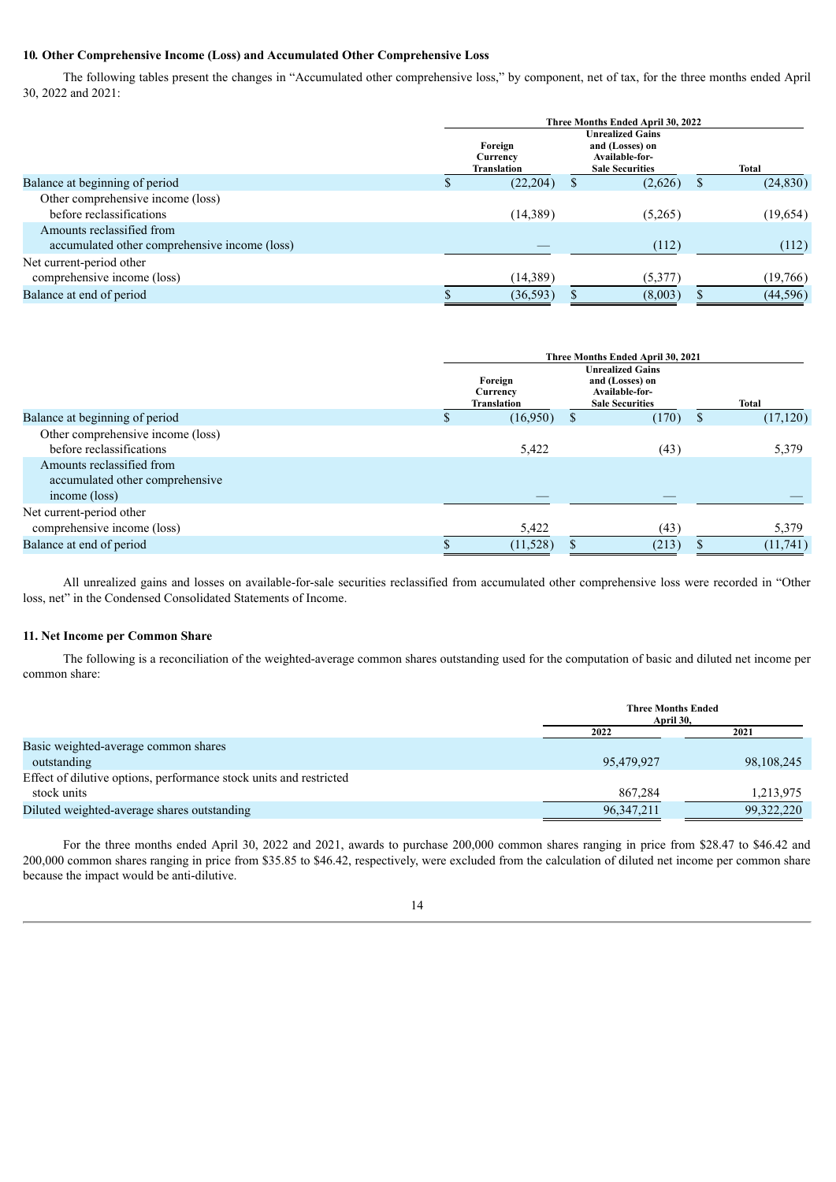# **10***.* **Other Comprehensive Income (Loss) and Accumulated Other Comprehensive Loss**

The following tables present the changes in "Accumulated other comprehensive loss," by component, net of tax, for the three months ended April 30, 2022 and 2021:

|                                                                            | Foreign<br>Currency<br><b>Translation</b> | Three Months Ended April 30, 2022<br><b>Unrealized Gains</b><br>and (Losses) on<br><b>Available-for-</b><br><b>Sale Securities</b><br>Total |  |           |  |
|----------------------------------------------------------------------------|-------------------------------------------|---------------------------------------------------------------------------------------------------------------------------------------------|--|-----------|--|
| Balance at beginning of period                                             | (22, 204)                                 | (2,626)                                                                                                                                     |  | (24, 830) |  |
| Other comprehensive income (loss)<br>before reclassifications              | (14,389)                                  | (5,265)                                                                                                                                     |  | (19,654)  |  |
| Amounts reclassified from<br>accumulated other comprehensive income (loss) |                                           | (112)                                                                                                                                       |  | (112)     |  |
| Net current-period other<br>comprehensive income (loss)                    | (14, 389)                                 | (5,377)                                                                                                                                     |  | (19,766)  |  |
| Balance at end of period                                                   | (36, 593)                                 | (8,003)                                                                                                                                     |  | (44, 596) |  |

|                                                                               | Foreign<br>Currency<br><b>Translation</b> | Three Months Ended April 30, 2021<br><b>Unrealized Gains</b><br>and (Losses) on<br>Available-for-<br><b>Sale Securities</b> | <b>Total</b> |  |  |
|-------------------------------------------------------------------------------|-------------------------------------------|-----------------------------------------------------------------------------------------------------------------------------|--------------|--|--|
| Balance at beginning of period                                                | (16,950)                                  | (170)                                                                                                                       | (17,120)     |  |  |
| Other comprehensive income (loss)<br>before reclassifications                 | 5,422                                     | (43)                                                                                                                        | 5,379        |  |  |
| Amounts reclassified from<br>accumulated other comprehensive<br>income (loss) |                                           |                                                                                                                             |              |  |  |
| Net current-period other                                                      |                                           |                                                                                                                             |              |  |  |
| comprehensive income (loss)                                                   | 5,422                                     | (43)                                                                                                                        | 5,379        |  |  |
| Balance at end of period                                                      | (11, 528)                                 | (213)                                                                                                                       | (11, 741)    |  |  |
|                                                                               |                                           |                                                                                                                             |              |  |  |

All unrealized gains and losses on available-for-sale securities reclassified from accumulated other comprehensive loss were recorded in "Other loss, net" in the Condensed Consolidated Statements of Income.

# **11. Net Income per Common Share**

The following is a reconciliation of the weighted-average common shares outstanding used for the computation of basic and diluted net income per common share:

|                                                                    | <b>Three Months Ended</b><br>April 30, |              |  |  |
|--------------------------------------------------------------------|----------------------------------------|--------------|--|--|
|                                                                    | 2022                                   | 2021         |  |  |
| Basic weighted-average common shares                               |                                        |              |  |  |
| outstanding                                                        | 95,479,927                             | 98, 108, 245 |  |  |
| Effect of dilutive options, performance stock units and restricted |                                        |              |  |  |
| stock units                                                        | 867,284                                | 1,213,975    |  |  |
| Diluted weighted-average shares outstanding                        | 96, 347, 211                           | 99,322,220   |  |  |

For the three months ended April 30, 2022 and 2021, awards to purchase 200,000 common shares ranging in price from \$28.47 to \$46.42 and 200,000 common shares ranging in price from \$35.85 to \$46.42, respectively, were excluded from the calculation of diluted net income per common share because the impact would be anti-dilutive.

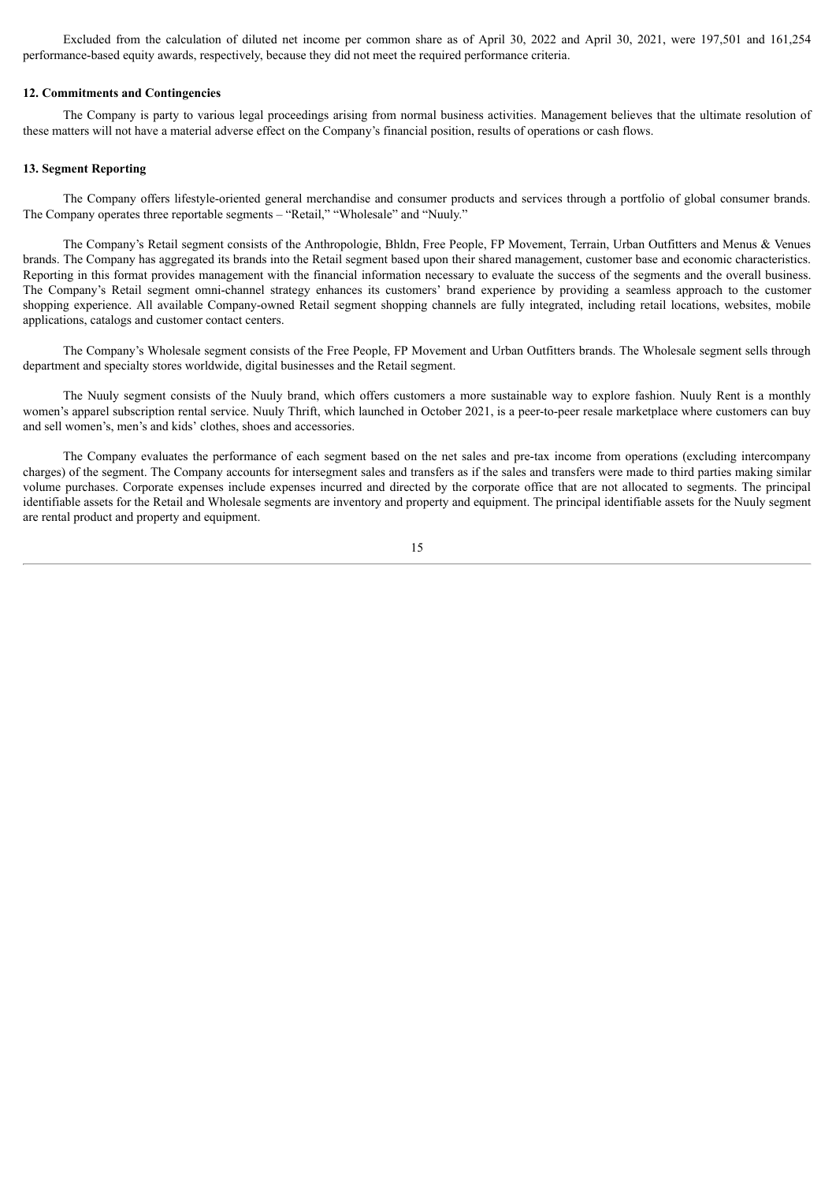Excluded from the calculation of diluted net income per common share as of April 30, 2022 and April 30, 2021, were 197,501 and 161,254 performance-based equity awards, respectively, because they did not meet the required performance criteria.

#### **12. Commitments and Contingencies**

The Company is party to various legal proceedings arising from normal business activities. Management believes that the ultimate resolution of these matters will not have a material adverse effect on the Company's financial position, results of operations or cash flows.

#### **13. Segment Reporting**

The Company offers lifestyle-oriented general merchandise and consumer products and services through a portfolio of global consumer brands. The Company operates three reportable segments – "Retail," "Wholesale" and "Nuuly."

The Company's Retail segment consists of the Anthropologie, Bhldn, Free People, FP Movement, Terrain, Urban Outfitters and Menus & Venues brands. The Company has aggregated its brands into the Retail segment based upon their shared management, customer base and economic characteristics. Reporting in this format provides management with the financial information necessary to evaluate the success of the segments and the overall business. The Company's Retail segment omni-channel strategy enhances its customers' brand experience by providing a seamless approach to the customer shopping experience. All available Company-owned Retail segment shopping channels are fully integrated, including retail locations, websites, mobile applications, catalogs and customer contact centers.

The Company's Wholesale segment consists of the Free People, FP Movement and Urban Outfitters brands. The Wholesale segment sells through department and specialty stores worldwide, digital businesses and the Retail segment.

The Nuuly segment consists of the Nuuly brand, which offers customers a more sustainable way to explore fashion. Nuuly Rent is a monthly women's apparel subscription rental service. Nuuly Thrift, which launched in October 2021, is a peer-to-peer resale marketplace where customers can buy and sell women's, men's and kids' clothes, shoes and accessories.

The Company evaluates the performance of each segment based on the net sales and pre-tax income from operations (excluding intercompany charges) of the segment. The Company accounts for intersegment sales and transfers as if the sales and transfers were made to third parties making similar volume purchases. Corporate expenses include expenses incurred and directed by the corporate office that are not allocated to segments. The principal identifiable assets for the Retail and Wholesale segments are inventory and property and equipment. The principal identifiable assets for the Nuuly segment are rental product and property and equipment.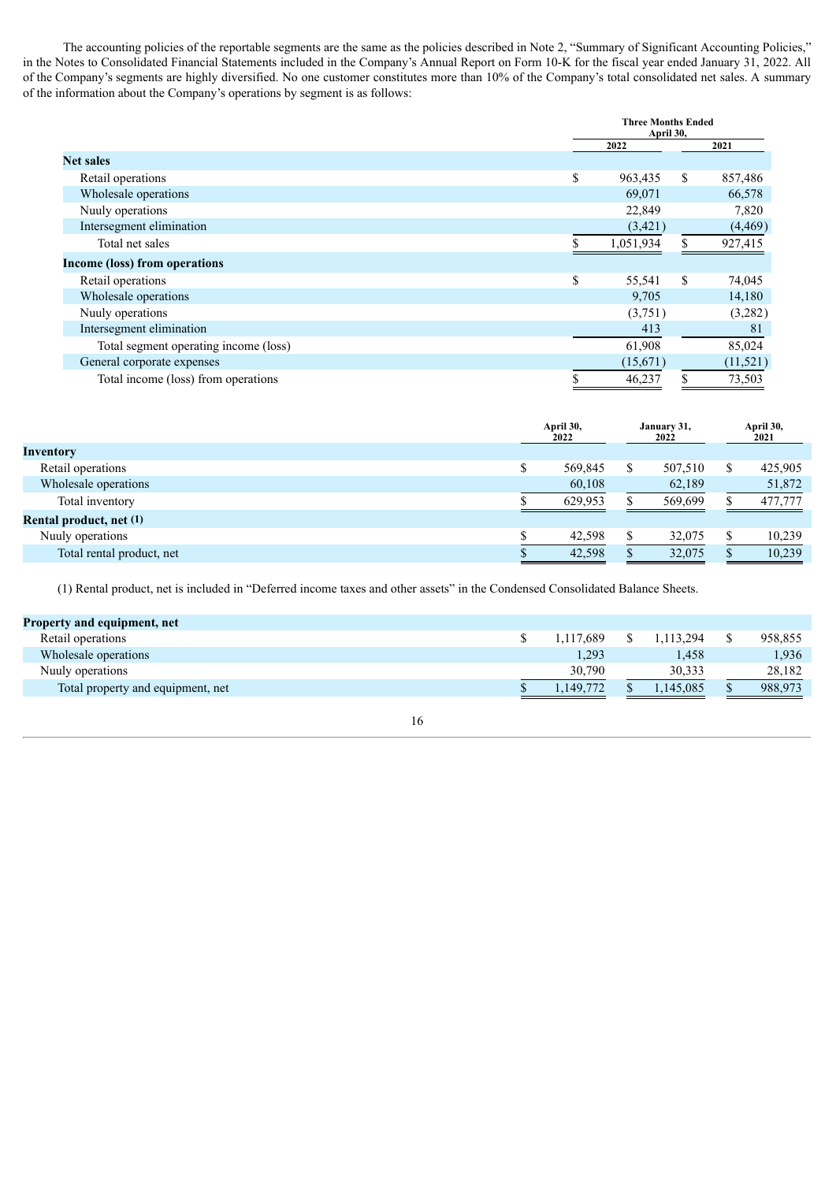The accounting policies of the reportable segments are the same as the policies described in Note 2, "Summary of Significant Accounting Policies," in the Notes to Consolidated Financial Statements included in the Company's Annual Report on Form 10-K for the fiscal year ended January 31, 2022. All of the Company's segments are highly diversified. No one customer constitutes more than 10% of the Company's total consolidated net sales. A summary of the information about the Company's operations by segment is as follows:

|                                       | <b>Three Months Ended</b><br>April 30, |           |               |           |
|---------------------------------------|----------------------------------------|-----------|---------------|-----------|
|                                       | 2022                                   |           |               | 2021      |
| <b>Net sales</b>                      |                                        |           |               |           |
| Retail operations                     | \$                                     | 963,435   | S.            | 857,486   |
| Wholesale operations                  |                                        | 69,071    |               | 66,578    |
| Nuuly operations                      |                                        | 22,849    |               | 7,820     |
| Intersegment elimination              |                                        | (3,421)   |               | (4, 469)  |
| Total net sales                       | \$                                     | 1,051,934 | \$            | 927,415   |
| Income (loss) from operations         |                                        |           |               |           |
| Retail operations                     | \$                                     | 55,541    | <sup>\$</sup> | 74,045    |
| Wholesale operations                  |                                        | 9,705     |               | 14,180    |
| Nuuly operations                      |                                        | (3,751)   |               | (3,282)   |
| Intersegment elimination              |                                        | 413       |               | 81        |
| Total segment operating income (loss) |                                        | 61,908    |               | 85,024    |
| General corporate expenses            |                                        | (15,671)  |               | (11, 521) |
| Total income (loss) from operations   | \$                                     | 46,237    | \$            | 73,503    |

|                                | April 30,<br>2022 |  | January 31,<br>2022 | April 30,<br>2021 |  |
|--------------------------------|-------------------|--|---------------------|-------------------|--|
| Inventory                      |                   |  |                     |                   |  |
| Retail operations              | \$<br>569,845     |  | 507,510             | 425,905           |  |
| Wholesale operations           | 60,108            |  | 62,189              | 51,872            |  |
| Total inventory                | 629.953           |  | 569,699             | 477,777           |  |
| <b>Rental product, net (1)</b> |                   |  |                     |                   |  |
| Nuuly operations               | 42,598            |  | 32,075              | 10,239            |  |
| Total rental product, net      | 42,598            |  | 32,075              | 10,239            |  |

(1) Rental product, net is included in "Deferred income taxes and other assets" in the Condensed Consolidated Balance Sheets.

| <b>Property and equipment, net</b> |  |           |          |         |
|------------------------------------|--|-----------|----------|---------|
| Retail operations                  |  | 1.117.689 | .113.294 | 958,855 |
| Wholesale operations               |  | 1,293     | 1.458    | 1,936   |
| Nuuly operations                   |  | 30.790    | 30,333   | 28,182  |
| Total property and equipment, net  |  | 1.149.772 | .145.085 | 988,973 |
|                                    |  |           |          |         |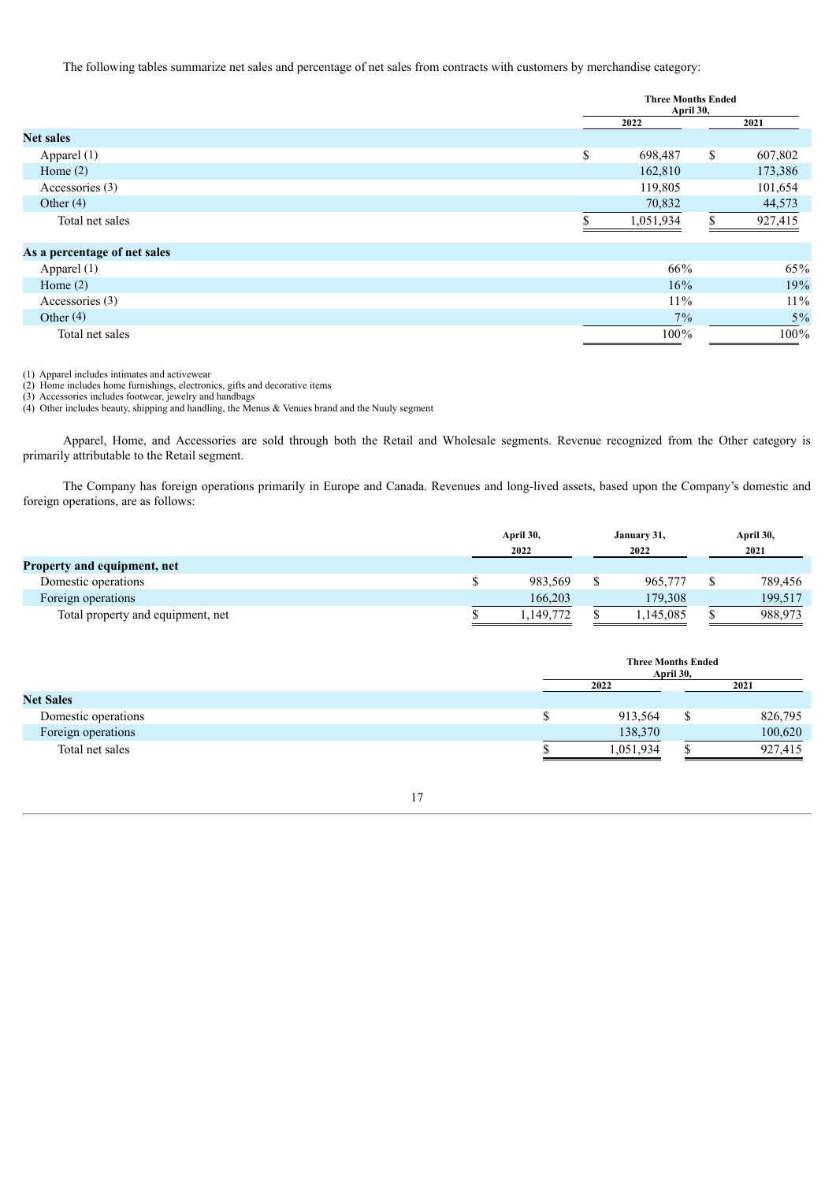The following tables summarize net sales and percentage of net sales from contracts with customers by merchandise category:

|                              | <b>Three Months Ended</b><br>April 30, |    |         |  |
|------------------------------|----------------------------------------|----|---------|--|
|                              | 2022                                   |    | 2021    |  |
| <b>Net sales</b>             |                                        |    |         |  |
| Apparel $(1)$                | \$<br>698,487                          | \$ | 607,802 |  |
| Home $(2)$                   | 162,810                                |    | 173,386 |  |
| Accessories (3)              | 119,805                                |    | 101,654 |  |
| Other $(4)$                  | 70,832                                 |    | 44,573  |  |
| Total net sales              | 1,051,934                              |    | 927,415 |  |
| As a percentage of net sales |                                        |    |         |  |
| Apparel (1)                  | 66%                                    |    | 65%     |  |
| Home $(2)$                   | 16%                                    |    | 19%     |  |
| Accessories (3)              | $11\%$                                 |    | 11%     |  |
| Other $(4)$                  | 7%                                     |    | $5\%$   |  |
| Total net sales              | 100%                                   |    | 100%    |  |

(1) Apparel includes intimates and activewear

(2) Home includes home furnishings, electronics, gifts and decorative items

(3) Accessories includes footwear, jewelry and handbags

(4) Other includes beauty, shipping and handling, the Menus & Venues brand and the Nuuly segment

Apparel, Home, and Accessories are sold through both the Retail and Wholesale segments. Revenue recognized from the Other category is primarily attributable to the Retail segment.

The Company has foreign operations primarily in Europe and Canada. Revenues and long-lived assets, based upon the Company's domestic and foreign operations, are as follows:

|                                    | April 30,<br>2022 | January 31,<br>2022 | April 30,<br>2021 |         |  |
|------------------------------------|-------------------|---------------------|-------------------|---------|--|
| <b>Property and equipment, net</b> |                   |                     |                   |         |  |
| Domestic operations                | 983.569           | 965,777             |                   | 789,456 |  |
| Foreign operations                 | 166.203           | 179.308             |                   | 199,517 |  |
| Total property and equipment, net  | 1.149.772         | ,145,085            |                   | 988,973 |  |

|                     | <b>Three Months Ended</b> | April 30, |         |
|---------------------|---------------------------|-----------|---------|
|                     | 2022                      |           |         |
| <b>Net Sales</b>    |                           |           |         |
| Domestic operations | 913,564                   |           | 826,795 |
| Foreign operations  | 138,370                   |           | 100,620 |
| Total net sales     | 1,051,934                 |           | 927,415 |

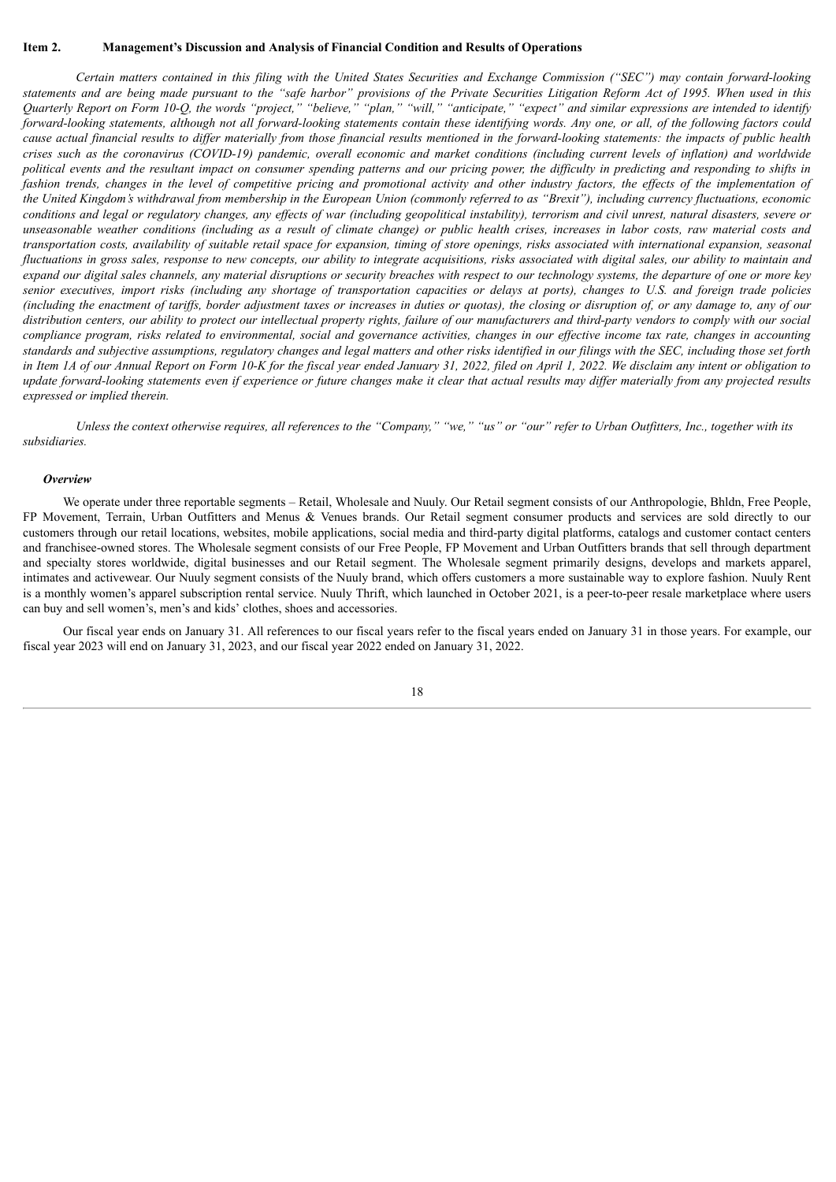# <span id="page-19-0"></span>**Item 2. Management's Discussion and Analysis of Financial Condition and Results of Operations**

Certain matters contained in this filing with the United States Securities and Exchange Commission ("SEC") may contain forward-looking statements and are being made pursuant to the "safe harbor" provisions of the Private Securities Litigation Reform Act of 1995. When used in this Quarterly Report on Form 10-Q, the words "project," "believe," "plan," "will," "anticipate," "expect" and similar expressions are intended to identify forward-looking statements, although not all forward-looking statements contain these identifying words. Any one, or all, of the following factors could cause actual financial results to differ materially from those financial results mentioned in the forward-looking statements; the impacts of public health crises such as the coronavirus (COVID-19) pandemic, overall economic and market conditions (including current levels of inflation) and worldwide political events and the resultant impact on consumer spending patterns and our pricing power, the difficulty in predicting and responding to shifts in fashion trends, changes in the level of competitive pricing and promotional activity and other industry factors, the effects of the implementation of the United Kingdom's withdrawal from membership in the European Union (commonly referred to as "Brexit"), including currency fluctuations, economic conditions and legal or regulatory changes, any effects of war (including geopolitical instability), terrorism and civil unrest, natural disasters, severe or unseasonable weather conditions (including as a result of climate change) or public health crises, increases in labor costs, raw material costs and transportation costs, availability of suitable retail space for expansion, timing of store openings, risks associated with international expansion, seasonal fluctuations in gross sales, response to new concepts, our ability to integrate acquisitions, risks associated with digital sales, our ability to maintain and expand our digital sales channels, any material disruptions or security breaches with respect to our technology systems, the departure of one or more key senior executives, import risks (including any shortage of transportation capacities or delays at ports), changes to U.S. and foreign trade policies (including the enactment of tariffs, border adjustment taxes or increases in duties or quotas), the closing or disruption of, or any damage to, any of our distribution centers, our ability to protect our intellectual property rights, failure of our manufacturers and third-party vendors to comply with our social compliance program, risks related to environmental, social and governance activities, changes in our effective income tax rate, changes in accounting standards and subjective assumptions, regulatory changes and legal matters and other risks identified in our filings with the SEC, including those set forth in Item 1A of our Annual Report on Form 10-K for the fiscal year ended January 31, 2022, filed on April 1, 2022. We disclaim any intent or obligation to update forward-looking statements even if experience or future changes make it clear that actual results may differ materially from any projected results *expressed or implied therein.*

Unless the context otherwise requires, all references to the "Company," "we," "us" or "our" refer to Urban Outfitters, Inc., together with its *subsidiaries.*

#### *Overview*

We operate under three reportable segments – Retail, Wholesale and Nuuly. Our Retail segment consists of our Anthropologie, Bhldn, Free People, FP Movement, Terrain, Urban Outfitters and Menus & Venues brands. Our Retail segment consumer products and services are sold directly to our customers through our retail locations, websites, mobile applications, social media and third-party digital platforms, catalogs and customer contact centers and franchisee-owned stores. The Wholesale segment consists of our Free People, FP Movement and Urban Outfitters brands that sell through department and specialty stores worldwide, digital businesses and our Retail segment. The Wholesale segment primarily designs, develops and markets apparel, intimates and activewear. Our Nuuly segment consists of the Nuuly brand, which offers customers a more sustainable way to explore fashion. Nuuly Rent is a monthly women's apparel subscription rental service. Nuuly Thrift, which launched in October 2021, is a peer-to-peer resale marketplace where users can buy and sell women's, men's and kids' clothes, shoes and accessories.

Our fiscal year ends on January 31. All references to our fiscal years refer to the fiscal years ended on January 31 in those years. For example, our fiscal year 2023 will end on January 31, 2023, and our fiscal year 2022 ended on January 31, 2022.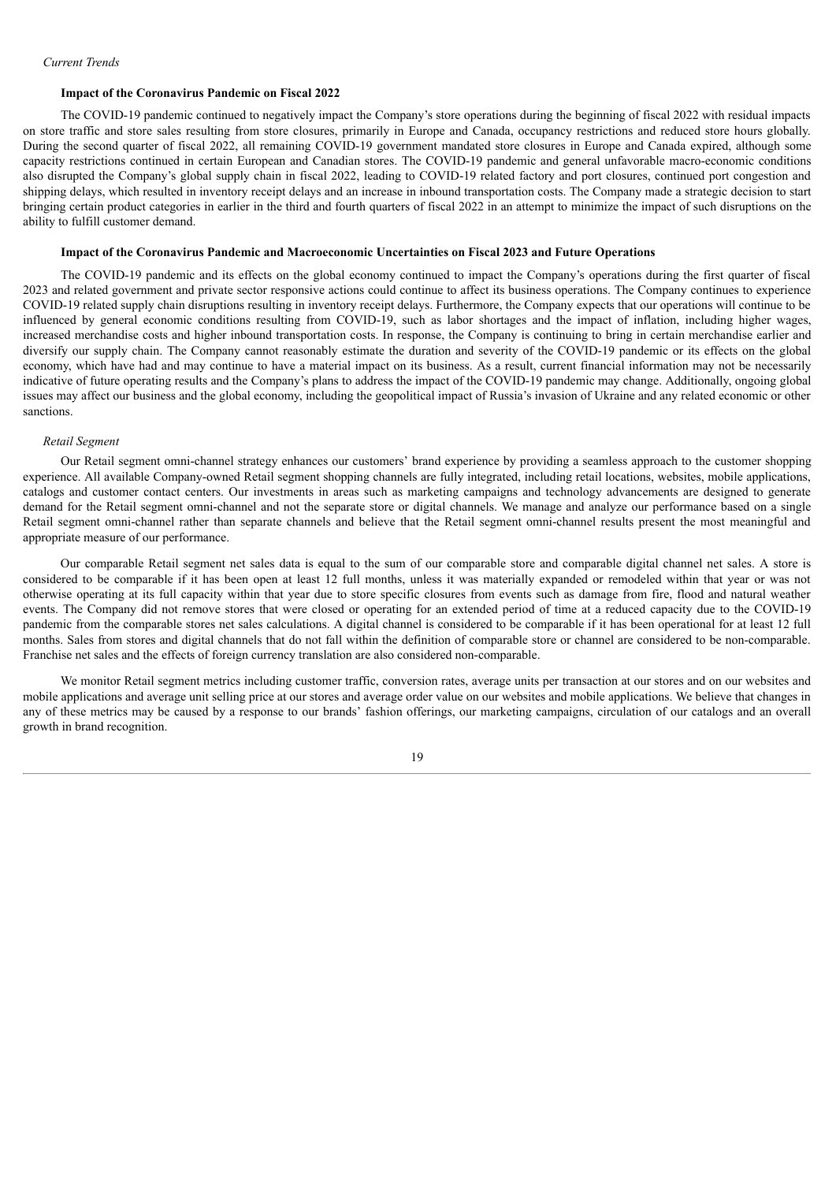#### **Impact of the Coronavirus Pandemic on Fiscal 2022**

The COVID-19 pandemic continued to negatively impact the Company's store operations during the beginning of fiscal 2022 with residual impacts on store traffic and store sales resulting from store closures, primarily in Europe and Canada, occupancy restrictions and reduced store hours globally. During the second quarter of fiscal 2022, all remaining COVID-19 government mandated store closures in Europe and Canada expired, although some capacity restrictions continued in certain European and Canadian stores. The COVID-19 pandemic and general unfavorable macro-economic conditions also disrupted the Company's global supply chain in fiscal 2022, leading to COVID-19 related factory and port closures, continued port congestion and shipping delays, which resulted in inventory receipt delays and an increase in inbound transportation costs. The Company made a strategic decision to start bringing certain product categories in earlier in the third and fourth quarters of fiscal 2022 in an attempt to minimize the impact of such disruptions on the ability to fulfill customer demand.

### **Impact of the Coronavirus Pandemic and Macroeconomic Uncertainties on Fiscal 2023 and Future Operations**

The COVID-19 pandemic and its effects on the global economy continued to impact the Company's operations during the first quarter of fiscal 2023 and related government and private sector responsive actions could continue to affect its business operations. The Company continues to experience COVID-19 related supply chain disruptions resulting in inventory receipt delays. Furthermore, the Company expects that our operations will continue to be influenced by general economic conditions resulting from COVID-19, such as labor shortages and the impact of inflation, including higher wages, increased merchandise costs and higher inbound transportation costs. In response, the Company is continuing to bring in certain merchandise earlier and diversify our supply chain. The Company cannot reasonably estimate the duration and severity of the COVID-19 pandemic or its effects on the global economy, which have had and may continue to have a material impact on its business. As a result, current financial information may not be necessarily indicative of future operating results and the Company's plans to address the impact of the COVID-19 pandemic may change. Additionally, ongoing global issues may affect our business and the global economy, including the geopolitical impact of Russia's invasion of Ukraine and any related economic or other sanctions.

#### *Retail Segment*

Our Retail segment omni-channel strategy enhances our customers' brand experience by providing a seamless approach to the customer shopping experience. All available Company-owned Retail segment shopping channels are fully integrated, including retail locations, websites, mobile applications, catalogs and customer contact centers. Our investments in areas such as marketing campaigns and technology advancements are designed to generate demand for the Retail segment omni-channel and not the separate store or digital channels. We manage and analyze our performance based on a single Retail segment omni-channel rather than separate channels and believe that the Retail segment omni-channel results present the most meaningful and appropriate measure of our performance.

Our comparable Retail segment net sales data is equal to the sum of our comparable store and comparable digital channel net sales. A store is considered to be comparable if it has been open at least 12 full months, unless it was materially expanded or remodeled within that year or was not otherwise operating at its full capacity within that year due to store specific closures from events such as damage from fire, flood and natural weather events. The Company did not remove stores that were closed or operating for an extended period of time at a reduced capacity due to the COVID-19 pandemic from the comparable stores net sales calculations. A digital channel is considered to be comparable if it has been operational for at least 12 full months. Sales from stores and digital channels that do not fall within the definition of comparable store or channel are considered to be non-comparable. Franchise net sales and the effects of foreign currency translation are also considered non-comparable.

We monitor Retail segment metrics including customer traffic, conversion rates, average units per transaction at our stores and on our websites and mobile applications and average unit selling price at our stores and average order value on our websites and mobile applications. We believe that changes in any of these metrics may be caused by a response to our brands' fashion offerings, our marketing campaigns, circulation of our catalogs and an overall growth in brand recognition.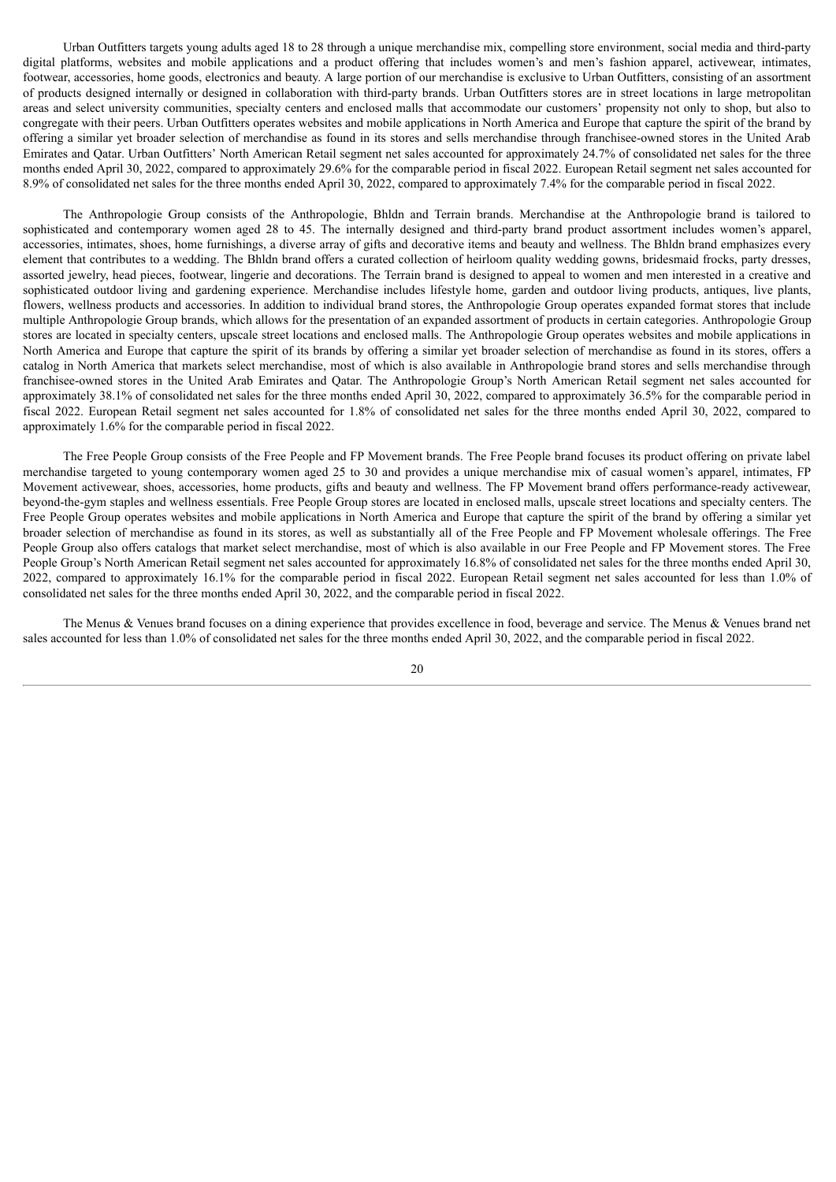Urban Outfitters targets young adults aged 18 to 28 through a unique merchandise mix, compelling store environment, social media and third-party digital platforms, websites and mobile applications and a product offering that includes women's and men's fashion apparel, activewear, intimates, footwear, accessories, home goods, electronics and beauty. A large portion of our merchandise is exclusive to Urban Outfitters, consisting of an assortment of products designed internally or designed in collaboration with third-party brands. Urban Outfitters stores are in street locations in large metropolitan areas and select university communities, specialty centers and enclosed malls that accommodate our customers' propensity not only to shop, but also to congregate with their peers. Urban Outfitters operates websites and mobile applications in North America and Europe that capture the spirit of the brand by offering a similar yet broader selection of merchandise as found in its stores and sells merchandise through franchisee-owned stores in the United Arab Emirates and Qatar. Urban Outfitters' North American Retail segment net sales accounted for approximately 24.7% of consolidated net sales for the three months ended April 30, 2022, compared to approximately 29.6% for the comparable period in fiscal 2022. European Retail segment net sales accounted for 8.9% of consolidated net sales for the three months ended April 30, 2022, compared to approximately 7.4% for the comparable period in fiscal 2022.

The Anthropologie Group consists of the Anthropologie, Bhldn and Terrain brands. Merchandise at the Anthropologie brand is tailored to sophisticated and contemporary women aged 28 to 45. The internally designed and third-party brand product assortment includes women's apparel, accessories, intimates, shoes, home furnishings, a diverse array of gifts and decorative items and beauty and wellness. The Bhldn brand emphasizes every element that contributes to a wedding. The Bhldn brand offers a curated collection of heirloom quality wedding gowns, bridesmaid frocks, party dresses, assorted jewelry, head pieces, footwear, lingerie and decorations. The Terrain brand is designed to appeal to women and men interested in a creative and sophisticated outdoor living and gardening experience. Merchandise includes lifestyle home, garden and outdoor living products, antiques, live plants, flowers, wellness products and accessories. In addition to individual brand stores, the Anthropologie Group operates expanded format stores that include multiple Anthropologie Group brands, which allows for the presentation of an expanded assortment of products in certain categories. Anthropologie Group stores are located in specialty centers, upscale street locations and enclosed malls. The Anthropologie Group operates websites and mobile applications in North America and Europe that capture the spirit of its brands by offering a similar yet broader selection of merchandise as found in its stores, offers a catalog in North America that markets select merchandise, most of which is also available in Anthropologie brand stores and sells merchandise through franchisee-owned stores in the United Arab Emirates and Qatar. The Anthropologie Group's North American Retail segment net sales accounted for approximately 38.1% of consolidated net sales for the three months ended April 30, 2022, compared to approximately 36.5% for the comparable period in fiscal 2022. European Retail segment net sales accounted for 1.8% of consolidated net sales for the three months ended April 30, 2022, compared to approximately 1.6% for the comparable period in fiscal 2022.

The Free People Group consists of the Free People and FP Movement brands. The Free People brand focuses its product offering on private label merchandise targeted to young contemporary women aged 25 to 30 and provides a unique merchandise mix of casual women's apparel, intimates, FP Movement activewear, shoes, accessories, home products, gifts and beauty and wellness. The FP Movement brand offers performance-ready activewear, beyond-the-gym staples and wellness essentials. Free People Group stores are located in enclosed malls, upscale street locations and specialty centers. The Free People Group operates websites and mobile applications in North America and Europe that capture the spirit of the brand by offering a similar yet broader selection of merchandise as found in its stores, as well as substantially all of the Free People and FP Movement wholesale offerings. The Free People Group also offers catalogs that market select merchandise, most of which is also available in our Free People and FP Movement stores. The Free People Group's North American Retail segment net sales accounted for approximately 16.8% of consolidated net sales for the three months ended April 30, 2022, compared to approximately 16.1% for the comparable period in fiscal 2022. European Retail segment net sales accounted for less than 1.0% of consolidated net sales for the three months ended April 30, 2022, and the comparable period in fiscal 2022.

The Menus & Venues brand focuses on a dining experience that provides excellence in food, beverage and service. The Menus & Venues brand net sales accounted for less than 1.0% of consolidated net sales for the three months ended April 30, 2022, and the comparable period in fiscal 2022.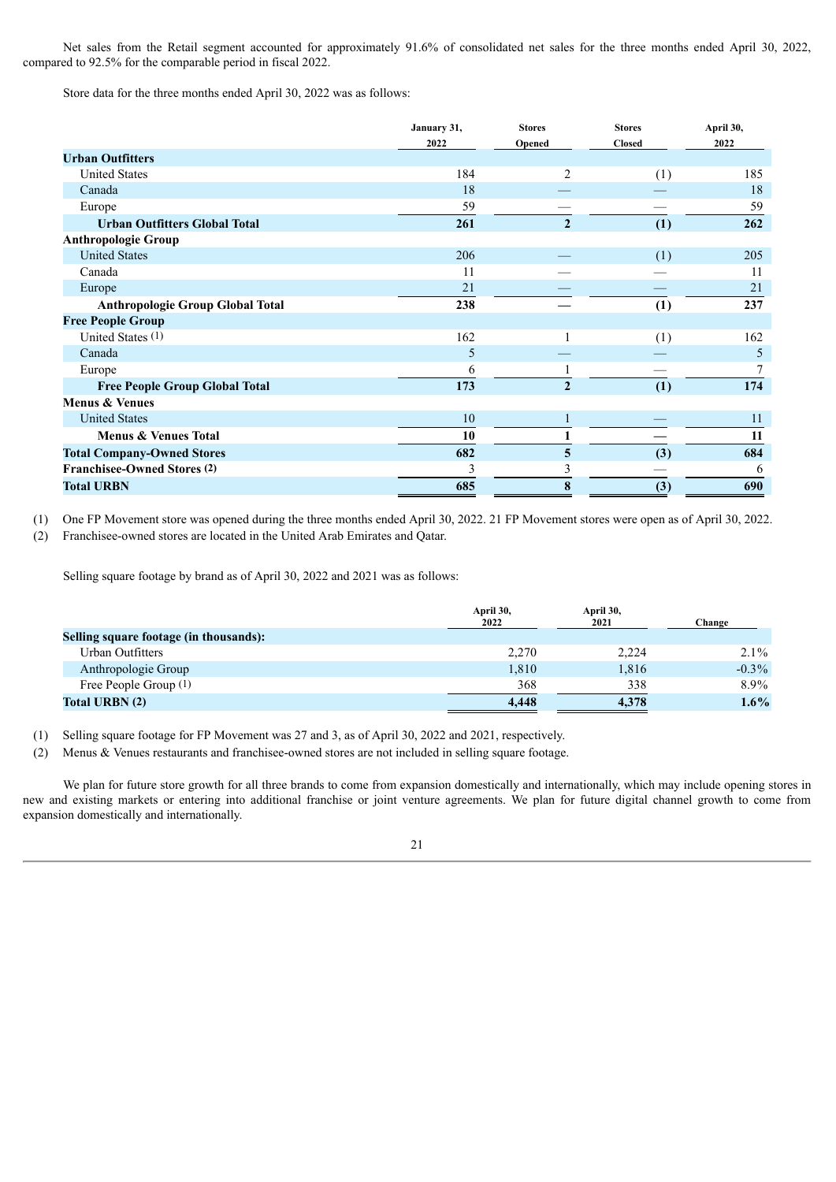Net sales from the Retail segment accounted for approximately 91.6% of consolidated net sales for the three months ended April 30, 2022, compared to 92.5% for the comparable period in fiscal 2022.

Store data for the three months ended April 30, 2022 was as follows:

|                                         | January 31, | <b>Stores</b>  | <b>Stores</b> | April 30, |
|-----------------------------------------|-------------|----------------|---------------|-----------|
|                                         | 2022        | Opened         | <b>Closed</b> | 2022      |
| <b>Urban Outfitters</b>                 |             |                |               |           |
| <b>United States</b>                    | 184         | $\overline{2}$ | (1)           | 185       |
| Canada                                  | 18          |                |               | 18        |
| Europe                                  | 59          |                |               | 59        |
| <b>Urban Outfitters Global Total</b>    | 261         | $\overline{2}$ | (1)           | 262       |
| <b>Anthropologie Group</b>              |             |                |               |           |
| <b>United States</b>                    | 206         |                | (1)           | 205       |
| Canada                                  | 11          |                |               | 11        |
| Europe                                  | 21          |                |               | 21        |
| <b>Anthropologie Group Global Total</b> | 238         |                | (1)           | 237       |
| <b>Free People Group</b>                |             |                |               |           |
| United States (1)                       | 162         |                | (1)           | 162       |
| Canada                                  | 5           |                |               | 5         |
| Europe                                  | 6           |                |               | 7         |
| <b>Free People Group Global Total</b>   | 173         | $\overline{2}$ | (1)           | 174       |
| <b>Menus &amp; Venues</b>               |             |                |               |           |
| <b>United States</b>                    | 10          |                |               | 11        |
| Menus & Venues Total                    | 10          |                |               | 11        |
| <b>Total Company-Owned Stores</b>       | 682         | 5              | (3)           | 684       |
| <b>Franchisee-Owned Stores (2)</b>      | 3           | 3              |               | 6         |
| <b>Total URBN</b>                       | 685         | 8              | (3)           | 690       |

(1) One FP Movement store was opened during the three months ended April 30, 2022. 21 FP Movement stores were open as of April 30, 2022.

(2) Franchisee-owned stores are located in the United Arab Emirates and Qatar.

Selling square footage by brand as of April 30, 2022 and 2021 was as follows:

|                                        | April 30,<br>2022 | April 30,<br>2021 | Change   |
|----------------------------------------|-------------------|-------------------|----------|
| Selling square footage (in thousands): |                   |                   |          |
| Urban Outfitters                       | 2,270             | 2,224             | $2.1\%$  |
| Anthropologie Group                    | 1,810             | 1,816             | $-0.3\%$ |
| Free People Group $(1)$                | 368               | 338               | 8.9%     |
| <b>Total URBN (2)</b>                  | 4,448             | 4,378             | $1.6\%$  |

(1) Selling square footage for FP Movement was 27 and 3, as of April 30, 2022 and 2021, respectively.

(2) Menus & Venues restaurants and franchisee-owned stores are not included in selling square footage.

We plan for future store growth for all three brands to come from expansion domestically and internationally, which may include opening stores in new and existing markets or entering into additional franchise or joint venture agreements. We plan for future digital channel growth to come from expansion domestically and internationally.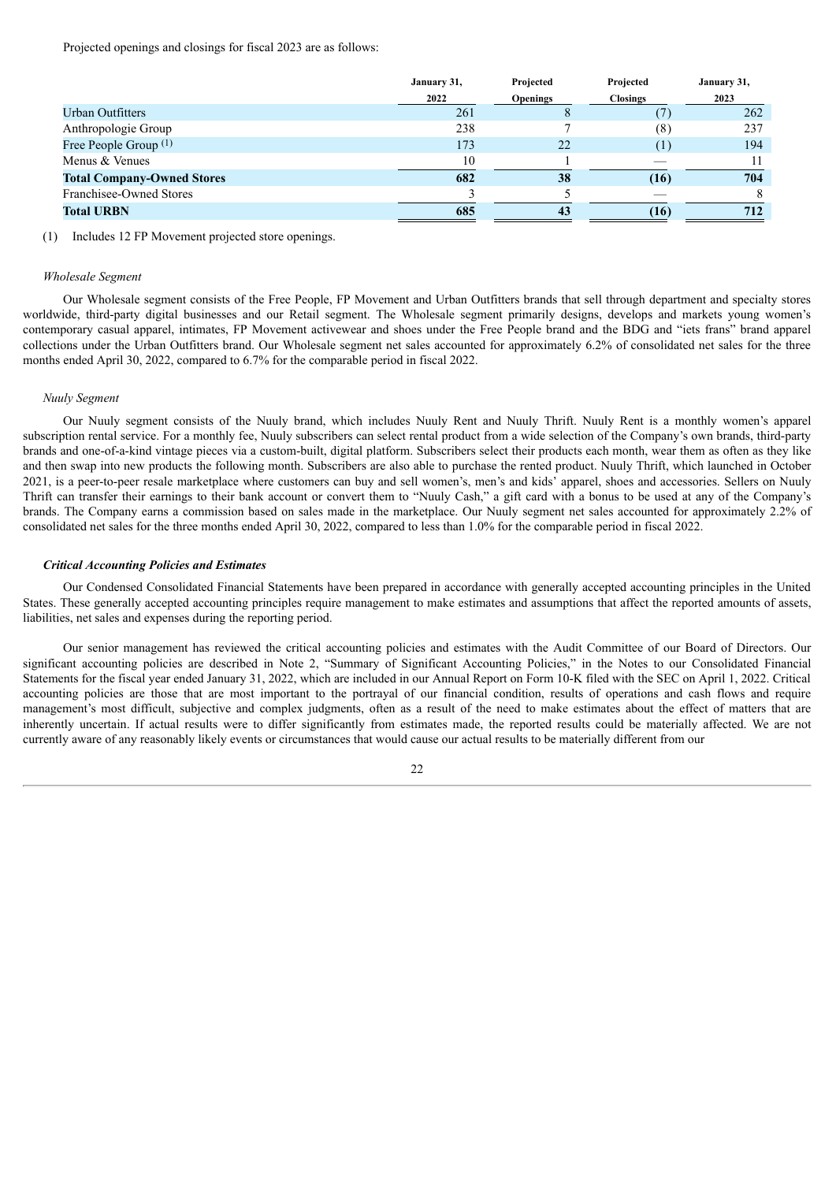Projected openings and closings for fiscal 2023 are as follows:

|                                   | January 31, | Projected       | Projected       | January 31, |
|-----------------------------------|-------------|-----------------|-----------------|-------------|
|                                   | 2022        | <b>Openings</b> | <b>Closings</b> | 2023        |
| Urban Outfitters                  | 261         |                 |                 | 262         |
| Anthropologie Group               | 238         |                 | (8)             | 237         |
| Free People Group (1)             | 173         | 22              |                 | 194         |
| Menus & Venues                    | 10          |                 |                 |             |
| <b>Total Company-Owned Stores</b> | 682         | 38              | (16)            | 704         |
| Franchisee-Owned Stores           |             |                 |                 | 8           |
| <b>Total URBN</b>                 | 685         | 43              | (16)            | 712         |

(1) Includes 12 FP Movement projected store openings.

# *Wholesale Segment*

Our Wholesale segment consists of the Free People, FP Movement and Urban Outfitters brands that sell through department and specialty stores worldwide, third-party digital businesses and our Retail segment. The Wholesale segment primarily designs, develops and markets young women's contemporary casual apparel, intimates, FP Movement activewear and shoes under the Free People brand and the BDG and "iets frans" brand apparel collections under the Urban Outfitters brand. Our Wholesale segment net sales accounted for approximately 6.2% of consolidated net sales for the three months ended April 30, 2022, compared to 6.7% for the comparable period in fiscal 2022.

### *Nuuly Segment*

Our Nuuly segment consists of the Nuuly brand, which includes Nuuly Rent and Nuuly Thrift. Nuuly Rent is a monthly women's apparel subscription rental service. For a monthly fee, Nuuly subscribers can select rental product from a wide selection of the Company's own brands, third-party brands and one-of-a-kind vintage pieces via a custom-built, digital platform. Subscribers select their products each month, wear them as often as they like and then swap into new products the following month. Subscribers are also able to purchase the rented product. Nuuly Thrift, which launched in October 2021, is a peer-to-peer resale marketplace where customers can buy and sell women's, men's and kids' apparel, shoes and accessories. Sellers on Nuuly Thrift can transfer their earnings to their bank account or convert them to "Nuuly Cash," a gift card with a bonus to be used at any of the Company's brands. The Company earns a commission based on sales made in the marketplace. Our Nuuly segment net sales accounted for approximately 2.2% of consolidated net sales for the three months ended April 30, 2022, compared to less than 1.0% for the comparable period in fiscal 2022.

### *Critical Accounting Policies and Estimates*

Our Condensed Consolidated Financial Statements have been prepared in accordance with generally accepted accounting principles in the United States. These generally accepted accounting principles require management to make estimates and assumptions that affect the reported amounts of assets, liabilities, net sales and expenses during the reporting period.

Our senior management has reviewed the critical accounting policies and estimates with the Audit Committee of our Board of Directors. Our significant accounting policies are described in Note 2, "Summary of Significant Accounting Policies," in the Notes to our Consolidated Financial Statements for the fiscal year ended January 31, 2022, which are included in our Annual Report on Form 10-K filed with the SEC on April 1, 2022. Critical accounting policies are those that are most important to the portrayal of our financial condition, results of operations and cash flows and require management's most difficult, subjective and complex judgments, often as a result of the need to make estimates about the effect of matters that are inherently uncertain. If actual results were to differ significantly from estimates made, the reported results could be materially affected. We are not currently aware of any reasonably likely events or circumstances that would cause our actual results to be materially different from our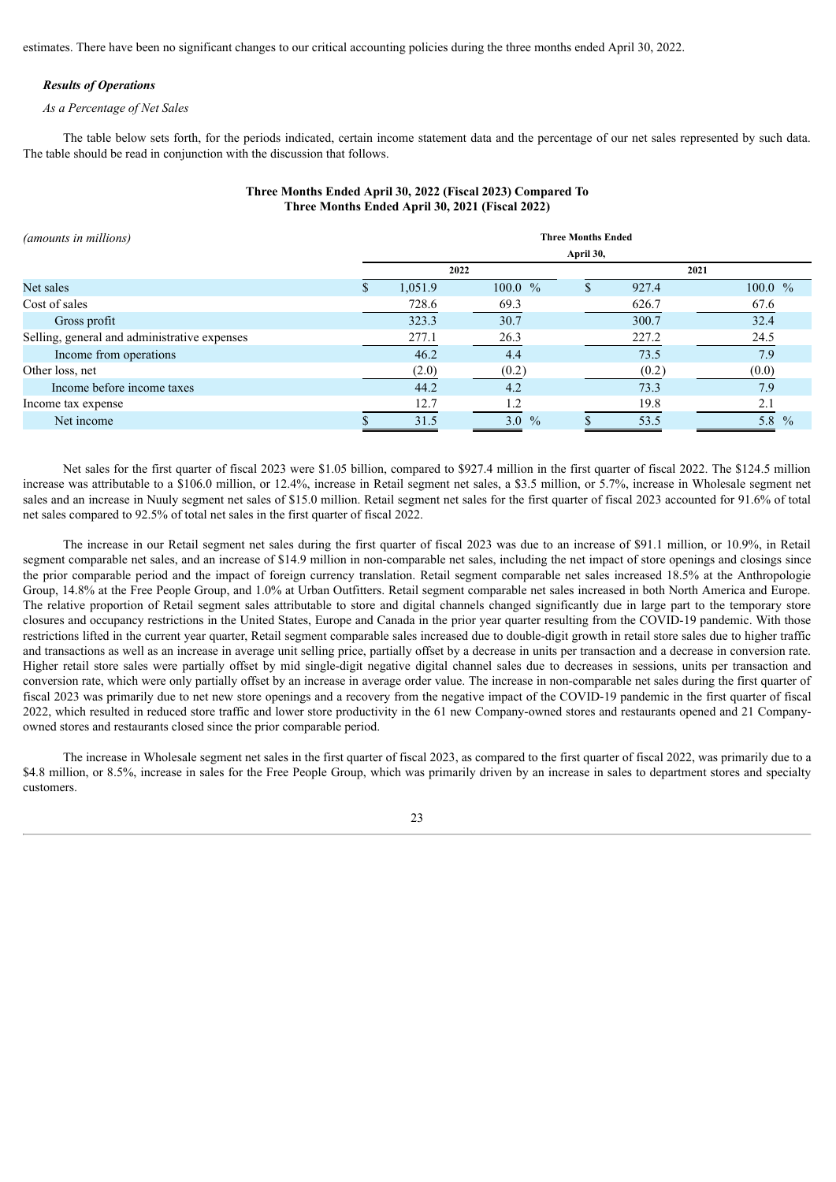estimates. There have been no significant changes to our critical accounting policies during the three months ended April 30, 2022.

#### *Results of Operations*

#### *As a Percentage of Net Sales*

The table below sets forth, for the periods indicated, certain income statement data and the percentage of our net sales represented by such data. The table should be read in conjunction with the discussion that follows.

### **Three Months Ended April 30, 2022 (Fiscal 2023) Compared To Three Months Ended April 30, 2021 (Fiscal 2022)**

| <i>(amounts in millions)</i><br><b>Three Months Ended</b> |  |         |                      |           |       |                      |
|-----------------------------------------------------------|--|---------|----------------------|-----------|-------|----------------------|
|                                                           |  |         |                      | April 30, |       |                      |
|                                                           |  |         | 2022                 |           |       | 2021                 |
| Net sales                                                 |  | 1,051.9 | $100.0 \%$           | .ъ        | 927.4 | 100.0 %              |
| Cost of sales                                             |  | 728.6   | 69.3                 |           | 626.7 | 67.6                 |
| Gross profit                                              |  | 323.3   | 30.7                 |           | 300.7 | 32.4                 |
| Selling, general and administrative expenses              |  | 277.1   | 26.3                 |           | 227.2 | 24.5                 |
| Income from operations                                    |  | 46.2    | 4.4                  |           | 73.5  | 7.9                  |
| Other loss, net                                           |  | (2.0)   | (0.2)                |           | (0.2) | (0.0)                |
| Income before income taxes                                |  | 44.2    | 4.2                  |           | 73.3  | 7.9                  |
| Income tax expense                                        |  | 12.7    | 1.2                  |           | 19.8  | 2.1                  |
| Net income                                                |  | 31.5    | 3.0<br>$\frac{0}{0}$ |           | 53.5  | 5.8<br>$\frac{0}{0}$ |

Net sales for the first quarter of fiscal 2023 were \$1.05 billion, compared to \$927.4 million in the first quarter of fiscal 2022. The \$124.5 million increase was attributable to a \$106.0 million, or 12.4%, increase in Retail segment net sales, a \$3.5 million, or 5.7%, increase in Wholesale segment net sales and an increase in Nuuly segment net sales of \$15.0 million. Retail segment net sales for the first quarter of fiscal 2023 accounted for 91.6% of total net sales compared to 92.5% of total net sales in the first quarter of fiscal 2022.

The increase in our Retail segment net sales during the first quarter of fiscal 2023 was due to an increase of \$91.1 million, or 10.9%, in Retail segment comparable net sales, and an increase of \$14.9 million in non-comparable net sales, including the net impact of store openings and closings since the prior comparable period and the impact of foreign currency translation. Retail segment comparable net sales increased 18.5% at the Anthropologie Group, 14.8% at the Free People Group, and 1.0% at Urban Outfitters. Retail segment comparable net sales increased in both North America and Europe. The relative proportion of Retail segment sales attributable to store and digital channels changed significantly due in large part to the temporary store closures and occupancy restrictions in the United States, Europe and Canada in the prior year quarter resulting from the COVID-19 pandemic. With those restrictions lifted in the current year quarter, Retail segment comparable sales increased due to double-digit growth in retail store sales due to higher traffic and transactions as well as an increase in average unit selling price, partially offset by a decrease in units per transaction and a decrease in conversion rate. Higher retail store sales were partially offset by mid single-digit negative digital channel sales due to decreases in sessions, units per transaction and conversion rate, which were only partially offset by an increase in average order value. The increase in non-comparable net sales during the first quarter of fiscal 2023 was primarily due to net new store openings and a recovery from the negative impact of the COVID-19 pandemic in the first quarter of fiscal 2022, which resulted in reduced store traffic and lower store productivity in the 61 new Company-owned stores and restaurants opened and 21 Companyowned stores and restaurants closed since the prior comparable period.

The increase in Wholesale segment net sales in the first quarter of fiscal 2023, as compared to the first quarter of fiscal 2022, was primarily due to a \$4.8 million, or 8.5%, increase in sales for the Free People Group, which was primarily driven by an increase in sales to department stores and specialty customers.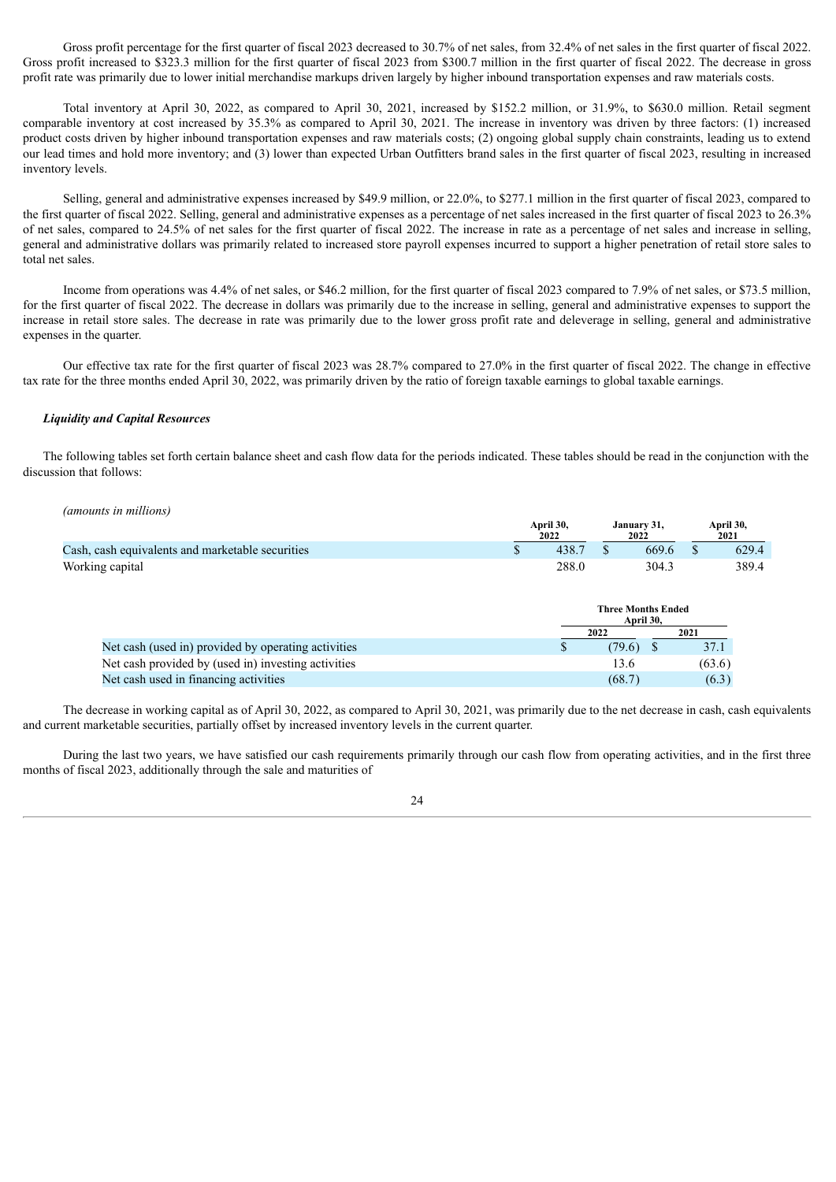Gross profit percentage for the first quarter of fiscal 2023 decreased to 30.7% of net sales, from 32.4% of net sales in the first quarter of fiscal 2022. Gross profit increased to \$323.3 million for the first quarter of fiscal 2023 from \$300.7 million in the first quarter of fiscal 2022. The decrease in gross profit rate was primarily due to lower initial merchandise markups driven largely by higher inbound transportation expenses and raw materials costs.

Total inventory at April 30, 2022, as compared to April 30, 2021, increased by \$152.2 million, or 31.9%, to \$630.0 million. Retail segment comparable inventory at cost increased by 35.3% as compared to April 30, 2021. The increase in inventory was driven by three factors: (1) increased product costs driven by higher inbound transportation expenses and raw materials costs; (2) ongoing global supply chain constraints, leading us to extend our lead times and hold more inventory; and (3) lower than expected Urban Outfitters brand sales in the first quarter of fiscal 2023, resulting in increased inventory levels.

Selling, general and administrative expenses increased by \$49.9 million, or 22.0%, to \$277.1 million in the first quarter of fiscal 2023, compared to the first quarter of fiscal 2022. Selling, general and administrative expenses as a percentage of net sales increased in the first quarter of fiscal 2023 to 26.3% of net sales, compared to 24.5% of net sales for the first quarter of fiscal 2022. The increase in rate as a percentage of net sales and increase in selling, general and administrative dollars was primarily related to increased store payroll expenses incurred to support a higher penetration of retail store sales to total net sales.

Income from operations was 4.4% of net sales, or \$46.2 million, for the first quarter of fiscal 2023 compared to 7.9% of net sales, or \$73.5 million, for the first quarter of fiscal 2022. The decrease in dollars was primarily due to the increase in selling, general and administrative expenses to support the increase in retail store sales. The decrease in rate was primarily due to the lower gross profit rate and deleverage in selling, general and administrative expenses in the quarter.

Our effective tax rate for the first quarter of fiscal 2023 was 28.7% compared to 27.0% in the first quarter of fiscal 2022. The change in effective tax rate for the three months ended April 30, 2022, was primarily driven by the ratio of foreign taxable earnings to global taxable earnings.

#### *Liquidity and Capital Resources*

The following tables set forth certain balance sheet and cash flow data for the periods indicated. These tables should be read in the conjunction with the discussion that follows:

| <i>(amounts in millions)</i>                     |                   |                     |                   |
|--------------------------------------------------|-------------------|---------------------|-------------------|
|                                                  | April 30,<br>2022 | January 31,<br>2022 | April 30,<br>2021 |
| Cash, cash equivalents and marketable securities | 438.7             | 669.6               | 629.4             |
| Working capital                                  | 288.0             | 304.3               | 389.4             |

|                                                     | <b>Three Months Ended</b><br>April 30, |        |
|-----------------------------------------------------|----------------------------------------|--------|
|                                                     | 2022                                   | 2021   |
| Net cash (used in) provided by operating activities | (79.6)                                 | 37.1   |
| Net cash provided by (used in) investing activities | 13.6                                   | (63.6) |
| Net cash used in financing activities               | (68.7)                                 | (6.3)  |

The decrease in working capital as of April 30, 2022, as compared to April 30, 2021, was primarily due to the net decrease in cash, cash equivalents and current marketable securities, partially offset by increased inventory levels in the current quarter.

During the last two years, we have satisfied our cash requirements primarily through our cash flow from operating activities, and in the first three months of fiscal 2023, additionally through the sale and maturities of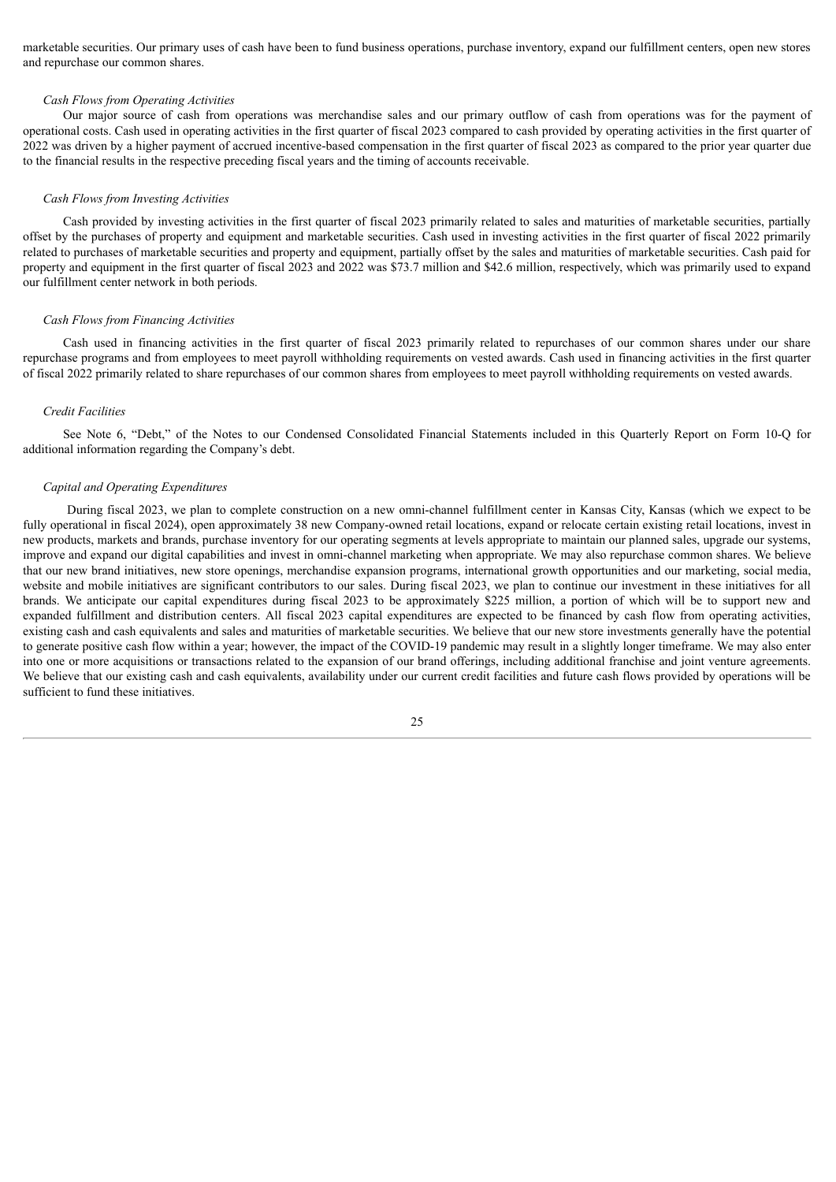marketable securities. Our primary uses of cash have been to fund business operations, purchase inventory, expand our fulfillment centers, open new stores and repurchase our common shares.

# *Cash Flows from Operating Activities*

Our major source of cash from operations was merchandise sales and our primary outflow of cash from operations was for the payment of operational costs. Cash used in operating activities in the first quarter of fiscal 2023 compared to cash provided by operating activities in the first quarter of 2022 was driven by a higher payment of accrued incentive-based compensation in the first quarter of fiscal 2023 as compared to the prior year quarter due to the financial results in the respective preceding fiscal years and the timing of accounts receivable.

#### *Cash Flows from Investing Activities*

Cash provided by investing activities in the first quarter of fiscal 2023 primarily related to sales and maturities of marketable securities, partially offset by the purchases of property and equipment and marketable securities. Cash used in investing activities in the first quarter of fiscal 2022 primarily related to purchases of marketable securities and property and equipment, partially offset by the sales and maturities of marketable securities. Cash paid for property and equipment in the first quarter of fiscal 2023 and 2022 was \$73.7 million and \$42.6 million, respectively, which was primarily used to expand our fulfillment center network in both periods.

### *Cash Flows from Financing Activities*

Cash used in financing activities in the first quarter of fiscal 2023 primarily related to repurchases of our common shares under our share repurchase programs and from employees to meet payroll withholding requirements on vested awards. Cash used in financing activities in the first quarter of fiscal 2022 primarily related to share repurchases of our common shares from employees to meet payroll withholding requirements on vested awards.

#### *Credit Facilities*

See Note 6, "Debt," of the Notes to our Condensed Consolidated Financial Statements included in this Quarterly Report on Form 10-Q for additional information regarding the Company's debt.

#### *Capital and Operating Expenditures*

During fiscal 2023, we plan to complete construction on a new omni-channel fulfillment center in Kansas City, Kansas (which we expect to be fully operational in fiscal 2024), open approximately 38 new Company-owned retail locations, expand or relocate certain existing retail locations, invest in new products, markets and brands, purchase inventory for our operating segments at levels appropriate to maintain our planned sales, upgrade our systems, improve and expand our digital capabilities and invest in omni-channel marketing when appropriate. We may also repurchase common shares. We believe that our new brand initiatives, new store openings, merchandise expansion programs, international growth opportunities and our marketing, social media, website and mobile initiatives are significant contributors to our sales. During fiscal 2023, we plan to continue our investment in these initiatives for all brands. We anticipate our capital expenditures during fiscal 2023 to be approximately \$225 million, a portion of which will be to support new and expanded fulfillment and distribution centers. All fiscal 2023 capital expenditures are expected to be financed by cash flow from operating activities, existing cash and cash equivalents and sales and maturities of marketable securities. We believe that our new store investments generally have the potential to generate positive cash flow within a year; however, the impact of the COVID-19 pandemic may result in a slightly longer timeframe. We may also enter into one or more acquisitions or transactions related to the expansion of our brand offerings, including additional franchise and joint venture agreements. We believe that our existing cash and cash equivalents, availability under our current credit facilities and future cash flows provided by operations will be sufficient to fund these initiatives.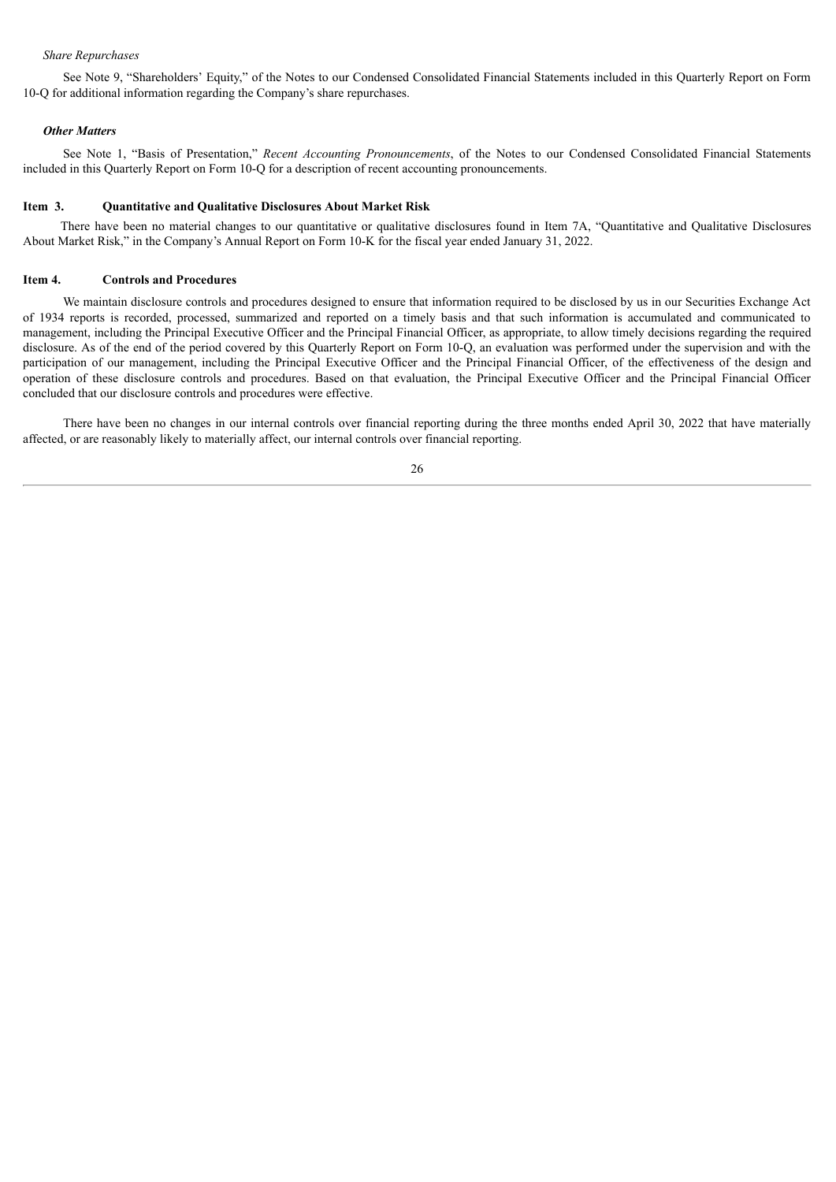### *Share Repurchases*

See Note 9, "Shareholders' Equity," of the Notes to our Condensed Consolidated Financial Statements included in this Quarterly Report on Form 10-Q for additional information regarding the Company's share repurchases.

#### *Other Matters*

See Note 1, "Basis of Presentation," *Recent Accounting Pronouncements*, of the Notes to our Condensed Consolidated Financial Statements included in this Quarterly Report on Form 10-Q for a description of recent accounting pronouncements.

# <span id="page-27-0"></span>**Item 3. Quantitative and Qualitative Disclosures About Market Risk**

There have been no material changes to our quantitative or qualitative disclosures found in Item 7A, "Quantitative and Qualitative Disclosures About Market Risk," in the Company's Annual Report on Form 10-K for the fiscal year ended January 31, 2022.

### <span id="page-27-1"></span>**Item 4. Controls and Procedures**

We maintain disclosure controls and procedures designed to ensure that information required to be disclosed by us in our Securities Exchange Act of 1934 reports is recorded, processed, summarized and reported on a timely basis and that such information is accumulated and communicated to management, including the Principal Executive Officer and the Principal Financial Officer, as appropriate, to allow timely decisions regarding the required disclosure. As of the end of the period covered by this Quarterly Report on Form 10-Q, an evaluation was performed under the supervision and with the participation of our management, including the Principal Executive Officer and the Principal Financial Officer, of the effectiveness of the design and operation of these disclosure controls and procedures. Based on that evaluation, the Principal Executive Officer and the Principal Financial Officer concluded that our disclosure controls and procedures were effective.

There have been no changes in our internal controls over financial reporting during the three months ended April 30, 2022 that have materially affected, or are reasonably likely to materially affect, our internal controls over financial reporting.

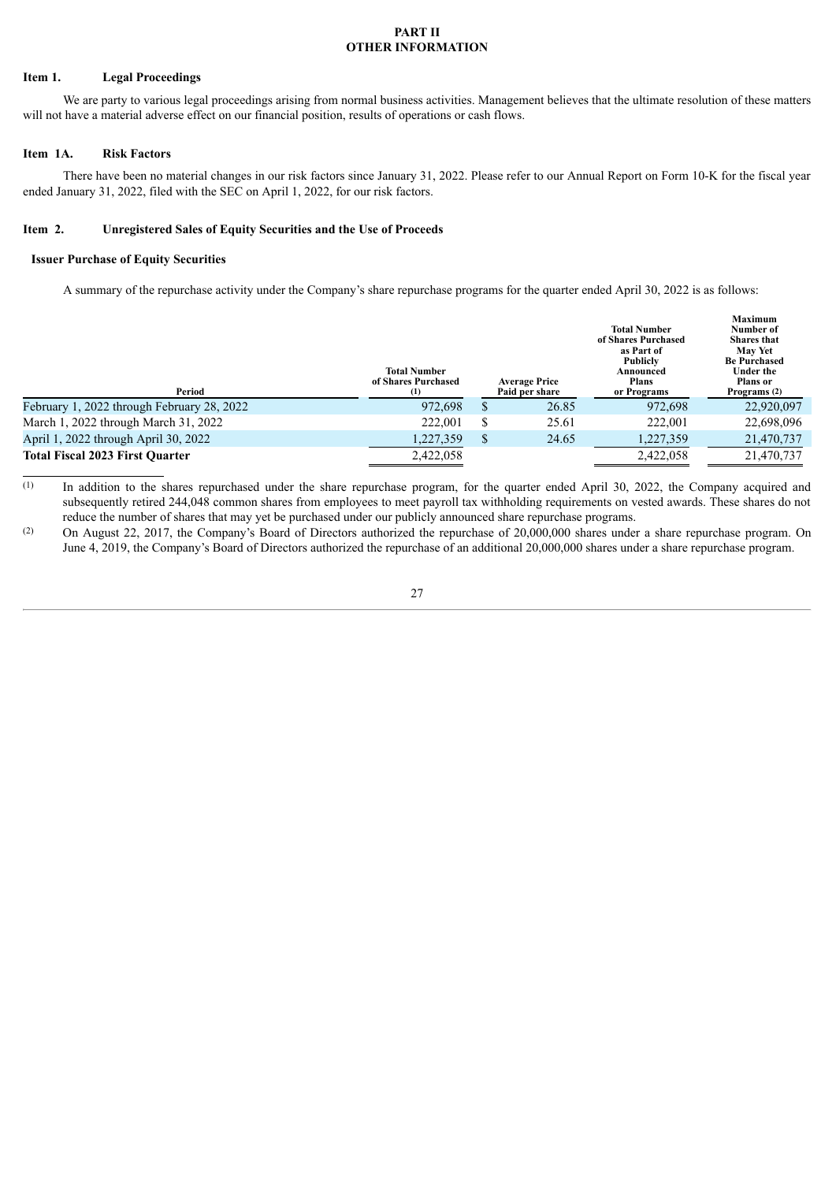# **PART II OTHER INFORMATION**

# <span id="page-28-0"></span>**Item 1. Legal Proceedings**

We are party to various legal proceedings arising from normal business activities. Management believes that the ultimate resolution of these matters will not have a material adverse effect on our financial position, results of operations or cash flows.

# <span id="page-28-1"></span>**Item 1A. Risk Factors**

There have been no material changes in our risk factors since January 31, 2022. Please refer to our Annual Report on Form 10-K for the fiscal year ended January 31, 2022, filed with the SEC on April 1, 2022, for our risk factors.

# **Item 2. Unregistered Sales of Equity Securities and the Use of Proceeds**

### **Issuer Purchase of Equity Securities**

<span id="page-28-2"></span>A summary of the repurchase activity under the Company's share repurchase programs for the quarter ended April 30, 2022 is as follows:

| Period                                     | <b>Total Number</b><br>of Shares Purchased |    | <b>Average Price</b><br>Paid per share | <b>Total Number</b><br>of Shares Purchased<br>as Part of<br><b>Publicly</b><br>Announced<br><b>Plans</b><br>or Programs | <b>Maximum</b><br>Number of<br><b>Shares that</b><br><b>May Yet</b><br><b>Be Purchased</b><br>Under the<br><b>Plans or</b><br>Programs (2) |
|--------------------------------------------|--------------------------------------------|----|----------------------------------------|-------------------------------------------------------------------------------------------------------------------------|--------------------------------------------------------------------------------------------------------------------------------------------|
| February 1, 2022 through February 28, 2022 | 972,698                                    | P. | 26.85                                  | 972,698                                                                                                                 | 22,920,097                                                                                                                                 |
| March 1, 2022 through March 31, 2022       | 222,001                                    |    | 25.61                                  | 222,001                                                                                                                 | 22,698,096                                                                                                                                 |
| April 1, 2022 through April 30, 2022       | 1,227,359                                  | S. | 24.65                                  | 1,227,359                                                                                                               | 21,470,737                                                                                                                                 |
| <b>Total Fiscal 2023 First Ouarter</b>     | 2,422,058                                  |    |                                        | 2,422,058                                                                                                               | 21,470,737                                                                                                                                 |

(1) In addition to the shares repurchased under the share repurchase program, for the quarter ended April 30, 2022, the Company acquired and subsequently retired 244,048 common shares from employees to meet payroll tax withholding requirements on vested awards. These shares do not reduce the number of shares that may yet be purchased under our publicly announced share repurchase programs.

(2) On August 22, 2017, the Company's Board of Directors authorized the repurchase of 20,000,000 shares under a share repurchase program. On June 4, 2019, the Company's Board of Directors authorized the repurchase of an additional 20,000,000 shares under a share repurchase program.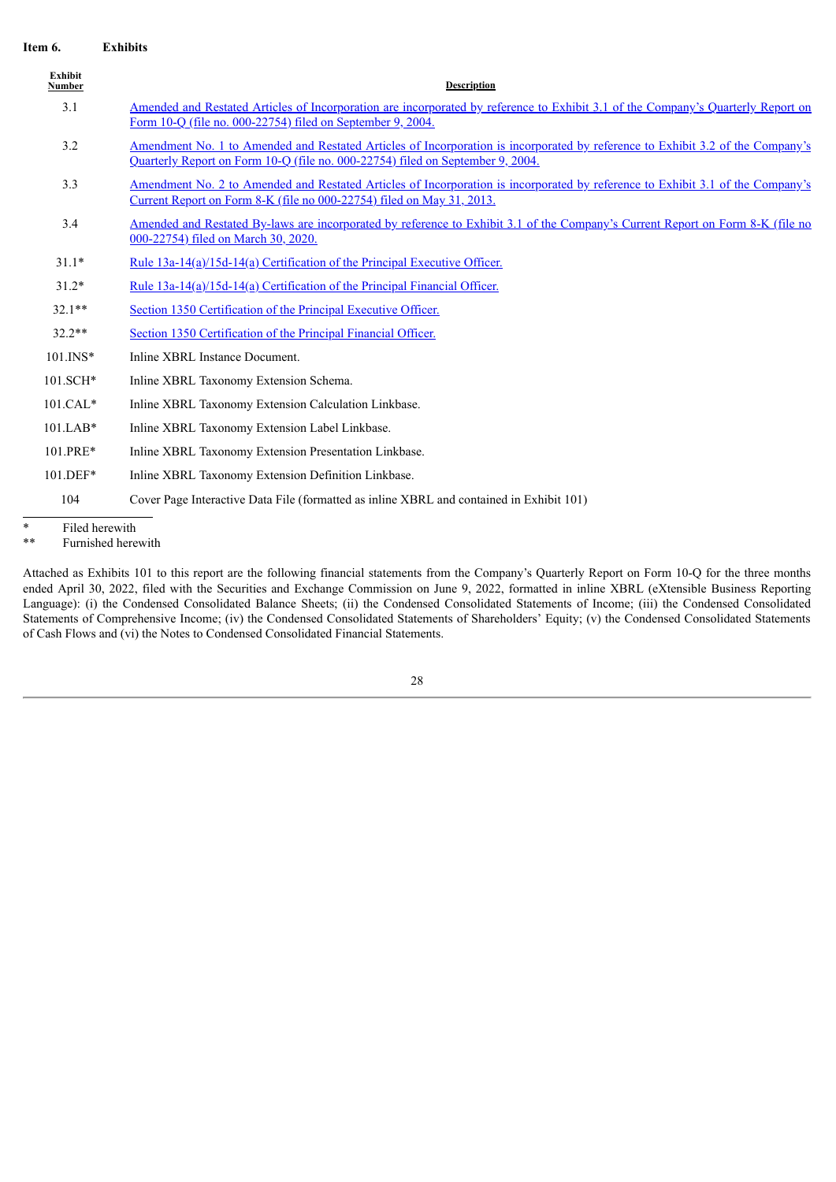<span id="page-29-0"></span>

| Item 6.                  | <b>Exhibits</b>                                                                                                                                                                                                  |
|--------------------------|------------------------------------------------------------------------------------------------------------------------------------------------------------------------------------------------------------------|
| <b>Exhibit</b><br>Number | <b>Description</b>                                                                                                                                                                                               |
| 3.1                      | Amended and Restated Articles of Incorporation are incorporated by reference to Exhibit 3.1 of the Company's Quarterly Report on<br>Form 10-Q (file no. 000-22754) filed on September 9, 2004.                   |
| 3.2                      | Amendment No. 1 to Amended and Restated Articles of Incorporation is incorporated by reference to Exhibit 3.2 of the Company's<br>Quarterly Report on Form 10-Q (file no. 000-22754) filed on September 9, 2004. |
| 3.3                      | Amendment No. 2 to Amended and Restated Articles of Incorporation is incorporated by reference to Exhibit 3.1 of the Company's<br>Current Report on Form 8-K (file no 000-22754) filed on May 31, 2013.          |
| 3.4                      | Amended and Restated By-laws are incorporated by reference to Exhibit 3.1 of the Company's Current Report on Form 8-K (file no<br>000-22754) filed on March 30, 2020.                                            |
| $31.1*$                  | <u>Rule 13a-14(a)/15d-14(a) Certification of the Principal Executive Officer.</u>                                                                                                                                |
| $31.2*$                  | Rule 13a-14(a)/15d-14(a) Certification of the Principal Financial Officer.                                                                                                                                       |
| $32.1**$                 | Section 1350 Certification of the Principal Executive Officer.                                                                                                                                                   |
| $32.2**$                 | Section 1350 Certification of the Principal Financial Officer.                                                                                                                                                   |
| 101.INS*                 | Inline XBRL Instance Document.                                                                                                                                                                                   |
| 101.SCH*                 | Inline XBRL Taxonomy Extension Schema.                                                                                                                                                                           |
| 101.CAL*                 | Inline XBRL Taxonomy Extension Calculation Linkbase.                                                                                                                                                             |
| $101.LAB*$               | Inline XBRL Taxonomy Extension Label Linkbase.                                                                                                                                                                   |
| 101.PRE*                 | Inline XBRL Taxonomy Extension Presentation Linkbase.                                                                                                                                                            |
| $101.$ DEF*              | Inline XBRL Taxonomy Extension Definition Linkbase.                                                                                                                                                              |
| 104                      | Cover Page Interactive Data File (formatted as inline XBRL and contained in Exhibit 101)                                                                                                                         |

Filed herewith

\*\* Furnished herewith

Attached as Exhibits 101 to this report are the following financial statements from the Company's Quarterly Report on Form 10-Q for the three months ended April 30, 2022, filed with the Securities and Exchange Commission on June 9, 2022, formatted in inline XBRL (eXtensible Business Reporting Language): (i) the Condensed Consolidated Balance Sheets; (ii) the Condensed Consolidated Statements of Income; (iii) the Condensed Consolidated Statements of Comprehensive Income; (iv) the Condensed Consolidated Statements of Shareholders' Equity; (v) the Condensed Consolidated Statements of Cash Flows and (vi) the Notes to Condensed Consolidated Financial Statements.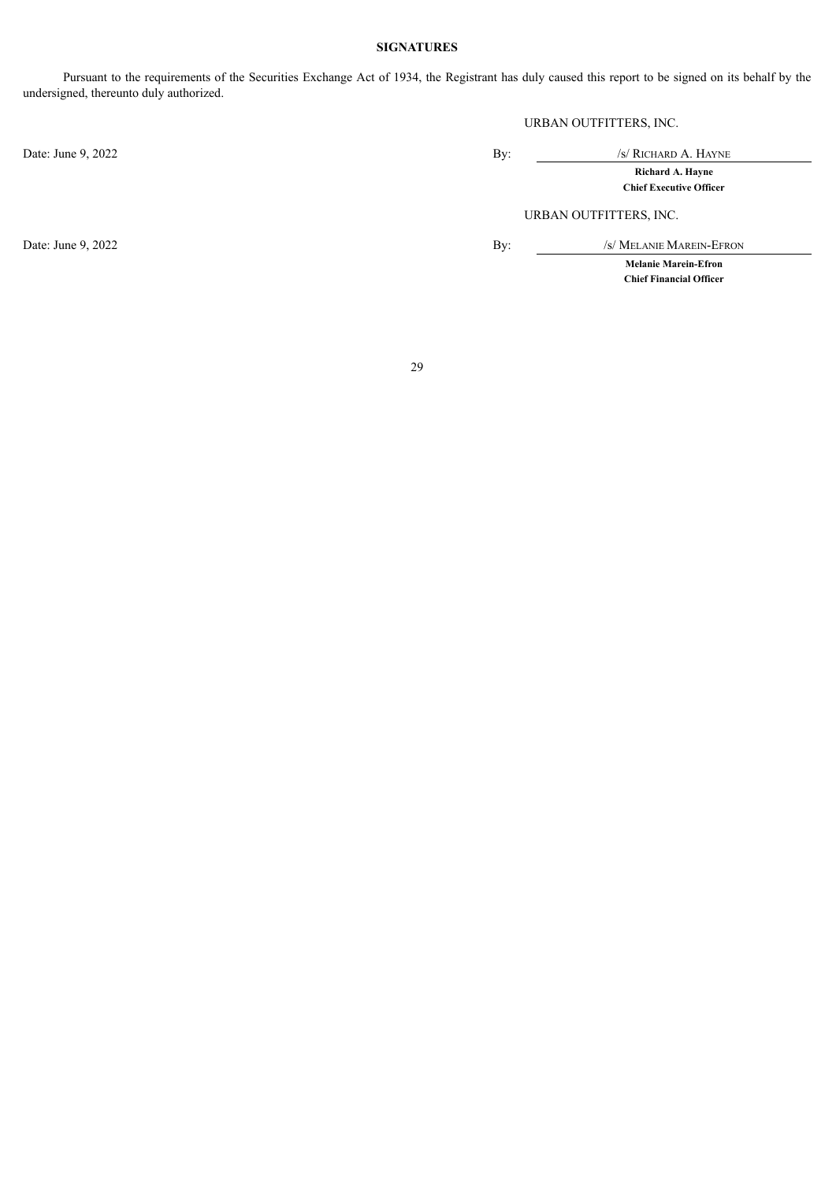# **SIGNATURES**

<span id="page-30-0"></span>Pursuant to the requirements of the Securities Exchange Act of 1934, the Registrant has duly caused this report to be signed on its behalf by the undersigned, thereunto duly authorized.

URBAN OUTFITTERS, INC.

Date: June 9, 2022 <br>By: /s/ RICHARD A. HAYNE

**Richard A. Hayne Chief Executive Officer**

URBAN OUTFITTERS, INC.

Date: June 9, 2022 <br>By: /s/ MELANIE MAREIN-EFRON

**Melanie Marein-Efron Chief Financial Officer**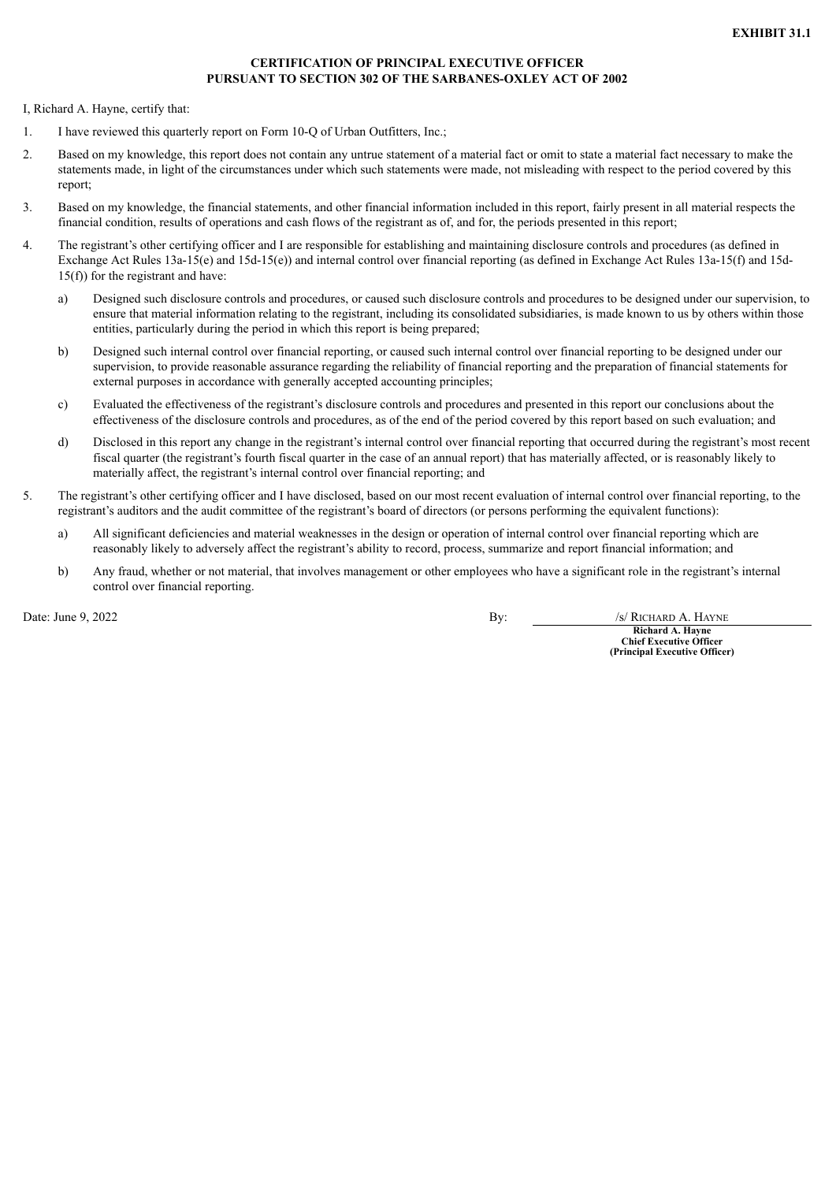# **CERTIFICATION OF PRINCIPAL EXECUTIVE OFFICER PURSUANT TO SECTION 302 OF THE SARBANES-OXLEY ACT OF 2002**

<span id="page-31-0"></span>I, Richard A. Hayne, certify that:

- 1. I have reviewed this quarterly report on Form 10-Q of Urban Outfitters, Inc.;
- 2. Based on my knowledge, this report does not contain any untrue statement of a material fact or omit to state a material fact necessary to make the statements made, in light of the circumstances under which such statements were made, not misleading with respect to the period covered by this report;
- 3. Based on my knowledge, the financial statements, and other financial information included in this report, fairly present in all material respects the financial condition, results of operations and cash flows of the registrant as of, and for, the periods presented in this report;
- 4. The registrant's other certifying officer and I are responsible for establishing and maintaining disclosure controls and procedures (as defined in Exchange Act Rules 13a-15(e) and 15d-15(e)) and internal control over financial reporting (as defined in Exchange Act Rules 13a-15(f) and 15d-15(f)) for the registrant and have:
	- a) Designed such disclosure controls and procedures, or caused such disclosure controls and procedures to be designed under our supervision, to ensure that material information relating to the registrant, including its consolidated subsidiaries, is made known to us by others within those entities, particularly during the period in which this report is being prepared;
	- b) Designed such internal control over financial reporting, or caused such internal control over financial reporting to be designed under our supervision, to provide reasonable assurance regarding the reliability of financial reporting and the preparation of financial statements for external purposes in accordance with generally accepted accounting principles;
	- c) Evaluated the effectiveness of the registrant's disclosure controls and procedures and presented in this report our conclusions about the effectiveness of the disclosure controls and procedures, as of the end of the period covered by this report based on such evaluation; and
	- d) Disclosed in this report any change in the registrant's internal control over financial reporting that occurred during the registrant's most recent fiscal quarter (the registrant's fourth fiscal quarter in the case of an annual report) that has materially affected, or is reasonably likely to materially affect, the registrant's internal control over financial reporting; and
- 5. The registrant's other certifying officer and I have disclosed, based on our most recent evaluation of internal control over financial reporting, to the registrant's auditors and the audit committee of the registrant's board of directors (or persons performing the equivalent functions):
	- a) All significant deficiencies and material weaknesses in the design or operation of internal control over financial reporting which are reasonably likely to adversely affect the registrant's ability to record, process, summarize and report financial information; and
	- b) Any fraud, whether or not material, that involves management or other employees who have a significant role in the registrant's internal control over financial reporting.

Date: June 9, 2022 <br>
By: /s/ RICHARD A. HAYNE

**Richard A. Hayne**

**Chief Executive Officer (Principal Executive Officer)**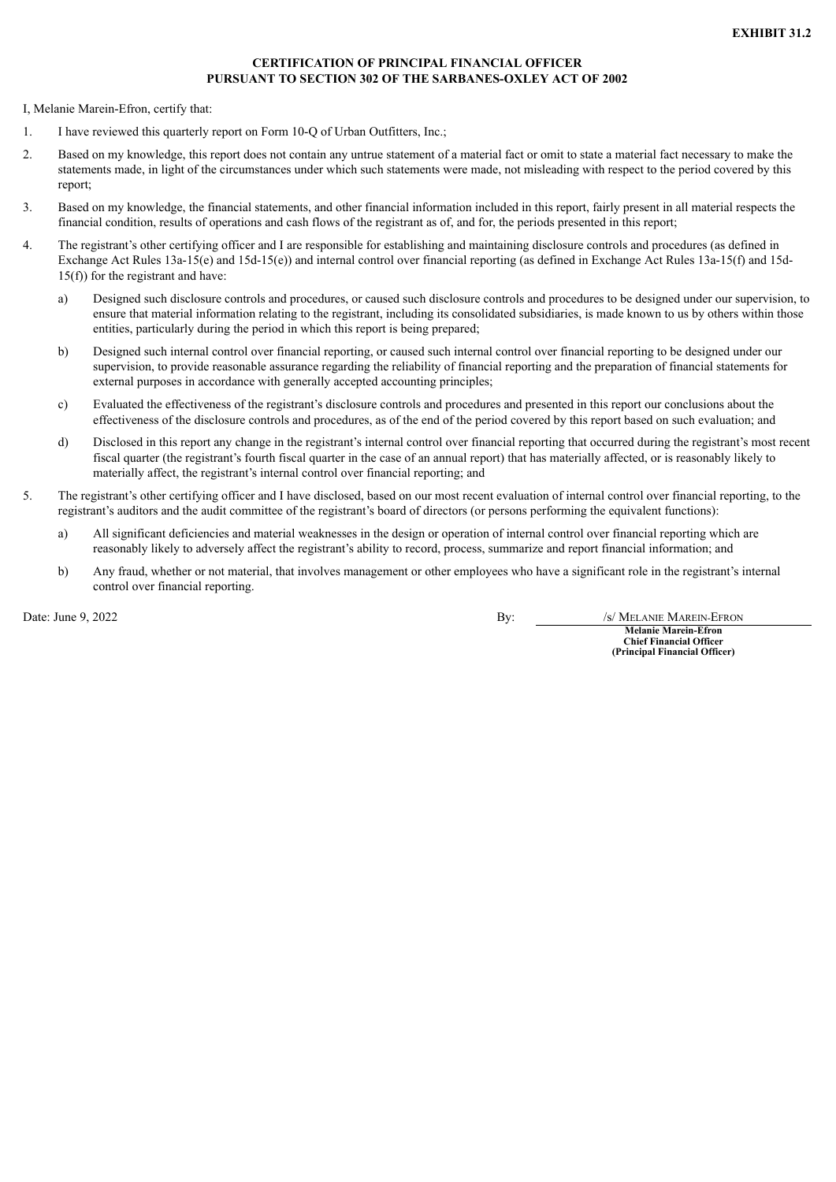# **CERTIFICATION OF PRINCIPAL FINANCIAL OFFICER PURSUANT TO SECTION 302 OF THE SARBANES-OXLEY ACT OF 2002**

<span id="page-32-0"></span>I, Melanie Marein-Efron, certify that:

- 1. I have reviewed this quarterly report on Form 10-Q of Urban Outfitters, Inc.;
- 2. Based on my knowledge, this report does not contain any untrue statement of a material fact or omit to state a material fact necessary to make the statements made, in light of the circumstances under which such statements were made, not misleading with respect to the period covered by this report;
- 3. Based on my knowledge, the financial statements, and other financial information included in this report, fairly present in all material respects the financial condition, results of operations and cash flows of the registrant as of, and for, the periods presented in this report;
- 4. The registrant's other certifying officer and I are responsible for establishing and maintaining disclosure controls and procedures (as defined in Exchange Act Rules 13a-15(e) and 15d-15(e)) and internal control over financial reporting (as defined in Exchange Act Rules 13a-15(f) and 15d-15(f)) for the registrant and have:
	- a) Designed such disclosure controls and procedures, or caused such disclosure controls and procedures to be designed under our supervision, to ensure that material information relating to the registrant, including its consolidated subsidiaries, is made known to us by others within those entities, particularly during the period in which this report is being prepared;
	- b) Designed such internal control over financial reporting, or caused such internal control over financial reporting to be designed under our supervision, to provide reasonable assurance regarding the reliability of financial reporting and the preparation of financial statements for external purposes in accordance with generally accepted accounting principles;
	- c) Evaluated the effectiveness of the registrant's disclosure controls and procedures and presented in this report our conclusions about the effectiveness of the disclosure controls and procedures, as of the end of the period covered by this report based on such evaluation; and
	- d) Disclosed in this report any change in the registrant's internal control over financial reporting that occurred during the registrant's most recent fiscal quarter (the registrant's fourth fiscal quarter in the case of an annual report) that has materially affected, or is reasonably likely to materially affect, the registrant's internal control over financial reporting; and
- 5. The registrant's other certifying officer and I have disclosed, based on our most recent evaluation of internal control over financial reporting, to the registrant's auditors and the audit committee of the registrant's board of directors (or persons performing the equivalent functions):
	- a) All significant deficiencies and material weaknesses in the design or operation of internal control over financial reporting which are reasonably likely to adversely affect the registrant's ability to record, process, summarize and report financial information; and
	- b) Any fraud, whether or not material, that involves management or other employees who have a significant role in the registrant's internal control over financial reporting.

Date: June 9, 2022 **By:** /s/ MELANIE MAREIN-EFRON

**Melanie Marein-Efron Chief Financial Officer (Principal Financial Officer)**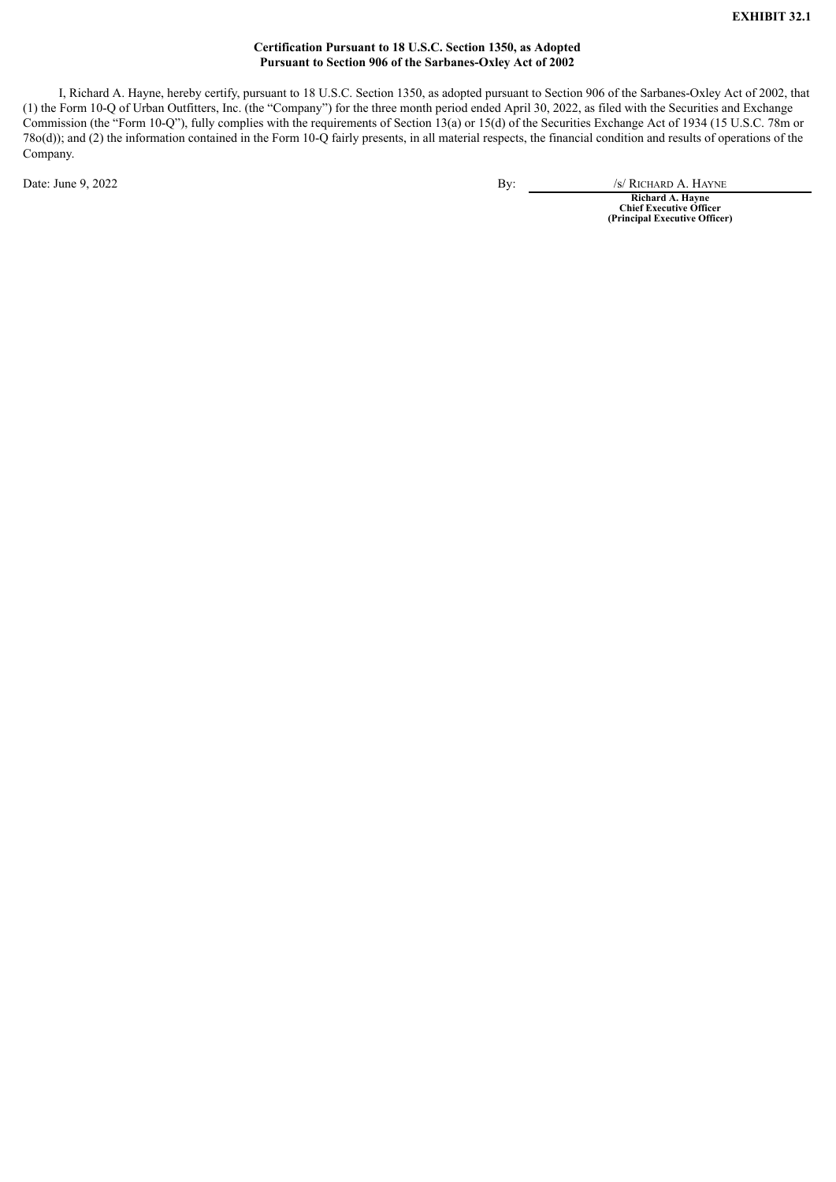# **Certification Pursuant to 18 U.S.C. Section 1350, as Adopted Pursuant to Section 906 of the Sarbanes-Oxley Act of 2002**

<span id="page-33-0"></span>I, Richard A. Hayne, hereby certify, pursuant to 18 U.S.C. Section 1350, as adopted pursuant to Section 906 of the Sarbanes-Oxley Act of 2002, that (1) the Form 10-Q of Urban Outfitters, Inc. (the "Company") for the three month period ended April 30, 2022, as filed with the Securities and Exchange Commission (the "Form 10-Q"), fully complies with the requirements of Section 13(a) or 15(d) of the Securities Exchange Act of 1934 (15 U.S.C. 78m or 78o(d)); and (2) the information contained in the Form 10-Q fairly presents, in all material respects, the financial condition and results of operations of the Company.

Date: June 9, 2022 By: /s/ RICHARD A. HAYNE

**Richard A. Hayne Chief Executive Officer (Principal Executive Officer)**